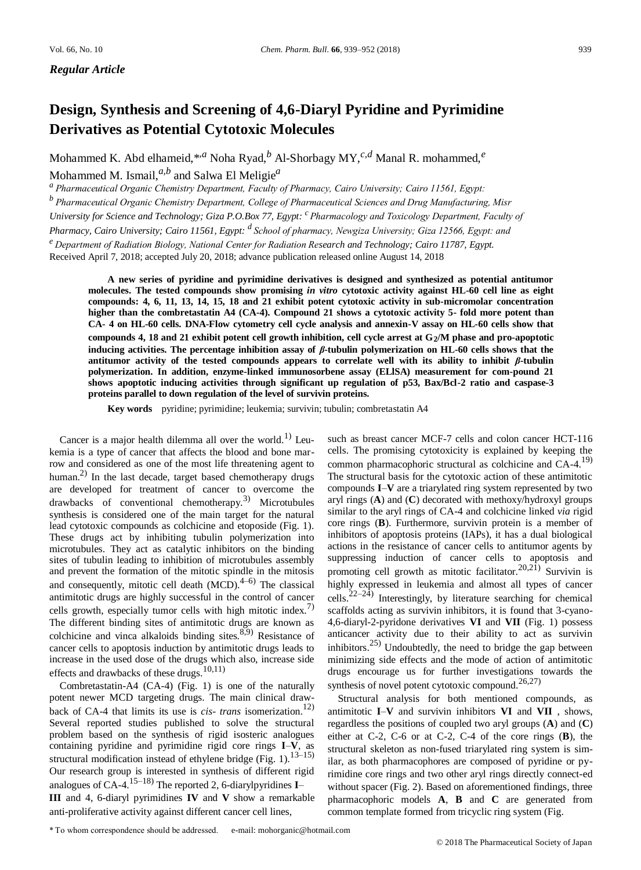*Regular Article*

# **Design, Synthesis and Screening of 4,6-Diaryl Pyridine and Pyrimidine Derivatives as Potential Cytotoxic Molecules**

Mohammed K. Abd elhameid,\*,*<sup>a</sup>* Noha Ryad,*<sup>b</sup>* Al-Shorbagy MY,*c,d* Manal R. mohammed,*<sup>e</sup>*

Mohammed M. Ismail,*a,b* and Salwa El Meligie*<sup>a</sup>*

*a  Pharmaceutical Organic Chemistry Department, Faculty of Pharmacy, Cairo University; Cairo 11561, Egypt:*

*b  Pharmaceutical Organic Chemistry Department, College of Pharmaceutical Sciences and Drug Manufacturing, Misr* 

*University for Science and Technology; Giza P.O.Box 77, Egypt: <sup>c</sup>  Pharmacology and Toxicology Department, Faculty of* 

*Pharmacy, Cairo University; Cairo 11561, Egypt: <sup>d</sup>  School of pharmacy, Newgiza University; Giza 12566, Egypt: and* 

*e  Department of Radiation Biology, National Center for Radiation Research and Technology; Cairo 11787, Egypt.*

Received April 7, 2018; accepted July 20, 2018; advance publication released online August 14, 2018

**A new series of pyridine and pyrimidine derivatives is designed and synthesized as potential antitumor molecules. The tested compounds show promising** *in vitro* **cytotoxic activity against HL-60 cell line as eight compounds: 4, 6, 11, 13, 14, 15, 18 and 21 exhibit potent cytotoxic activity in sub-micromolar concentration higher than the combretastatin A4 (CA-4). Compound 21 shows a cytotoxic activity 5- fold more potent than CA- 4 on HL-60 cells. DNA-Flow cytometry cell cycle analysis and annexin-V assay on HL-60 cells show that compounds 4, 18 and 21 exhibit potent cell growth inhibition, cell cycle arrest at G2/M phase and pro-apoptotic inducing activities. The percentage inhibition assay of** *β***-tubulin polymerization on HL-60 cells shows that the antitumor activity of the tested compounds appears to correlate well with its ability to inhibit**  $\beta$ **-tubulin polymerization. In addition, enzyme-linked immunosorbene assay (ELlSA) measurement for com-pound 21 shows apoptotic inducing activities through significant up regulation of p53, Bax/Bcl-2 ratio and caspase-3 proteins parallel to down regulation of the level of survivin proteins.**

**Key words** pyridine; pyrimidine; leukemia; survivin; tubulin; combretastatin A4

Cancer is a major health dilemma all over the world.<sup>1)</sup> Leukemia is a type of cancer that affects the blood and bone marrow and considered as one of the most life threatening agent to human.<sup>2)</sup> In the last decade, target based chemotherapy drugs are developed for treatment of cancer to overcome the drawbacks of conventional chemotherapy.<sup>3)</sup> Microtubules synthesis is considered one of the main target for the natural lead cytotoxic compounds as colchicine and etoposide (Fig. 1). These drugs act by inhibiting tubulin polymerization into microtubules. They act as catalytic inhibitors on the binding sites of tubulin leading to inhibition of microtubules assembly and prevent the formation of the mitotic spindle in the mitosis and consequently, mitotic cell death  $(MCD)$ .<sup>4–6)</sup> The classical antimitotic drugs are highly successful in the control of cancer cells growth, especially tumor cells with high mitotic index.<sup>7)</sup> The different binding sites of antimitotic drugs are known as colchicine and vinca alkaloids binding sites. $8,9)$  Resistance of cancer cells to apoptosis induction by antimitotic drugs leads to increase in the used dose of the drugs which also, increase side effects and drawbacks of these drugs.<sup>10,11)</sup>

Combretastatin-A4 (CA-4) (Fig. 1) is one of the naturally potent newer MCD targeting drugs. The main clinical drawback of CA-4 that limits its use is *cis- trans* isomerization.<sup>12)</sup> Several reported studies published to solve the structural problem based on the synthesis of rigid isosteric analogues containing pyridine and pyrimidine rigid core rings **I**–**V**, as structural modification instead of ethylene bridge (Fig.  $1$ ).<sup>13–15)</sup> Our research group is interested in synthesis of different rigid analogues of CA-4.15–18) The reported 2, 6-diarylpyridines **I**– **III** and 4, 6-diaryl pyrimidines **IV** and **V** show a remarkable

anti-proliferative activity against different cancer cell lines,

such as breast cancer MCF-7 cells and colon cancer HCT-116 cells. The promising cytotoxicity is explained by keeping the common pharmacophoric structural as colchicine and CA-4.19) The structural basis for the cytotoxic action of these antimitotic compounds **I**–**V** are a triarylated ring system represented by two aryl rings (**A**) and (**C**) decorated with methoxy/hydroxyl groups similar to the aryl rings of CA-4 and colchicine linked *via* rigid core rings (**B**). Furthermore, survivin protein is a member of inhibitors of apoptosis proteins (IAPs), it has a dual biological actions in the resistance of cancer cells to antitumor agents by suppressing induction of cancer cells to apoptosis and promoting cell growth as mitotic facilitator.<sup>20,21)</sup> Survivin is highly expressed in leukemia and almost all types of cancer cells.<sup>22–24</sup>) Interestingly, by literature searching for chemical scaffolds acting as survivin inhibitors, it is found that 3-cyano-4,6-diaryl-2-pyridone derivatives **VI** and **VII** (Fig. 1) possess anticancer activity due to their ability to act as survivin inhibitors. $25$  Undoubtedly, the need to bridge the gap between minimizing side effects and the mode of action of antimitotic drugs encourage us for further investigations towards the synthesis of novel potent cytotoxic compound.<sup>26,27)</sup>

Structural analysis for both mentioned compounds, as antimitotic **I**–**V** and survivin inhibitors **VI** and **VII** , shows, regardless the positions of coupled two aryl groups (**A**) and (**C**) either at C-2, C-6 or at C-2, C-4 of the core rings (**B**), the structural skeleton as non-fused triarylated ring system is similar, as both pharmacophores are composed of pyridine or pyrimidine core rings and two other aryl rings directly connect-ed without spacer (Fig. 2). Based on aforementioned findings, three pharmacophoric models **A**, **B** and **C** are generated from common template formed from tricyclic ring system (Fig.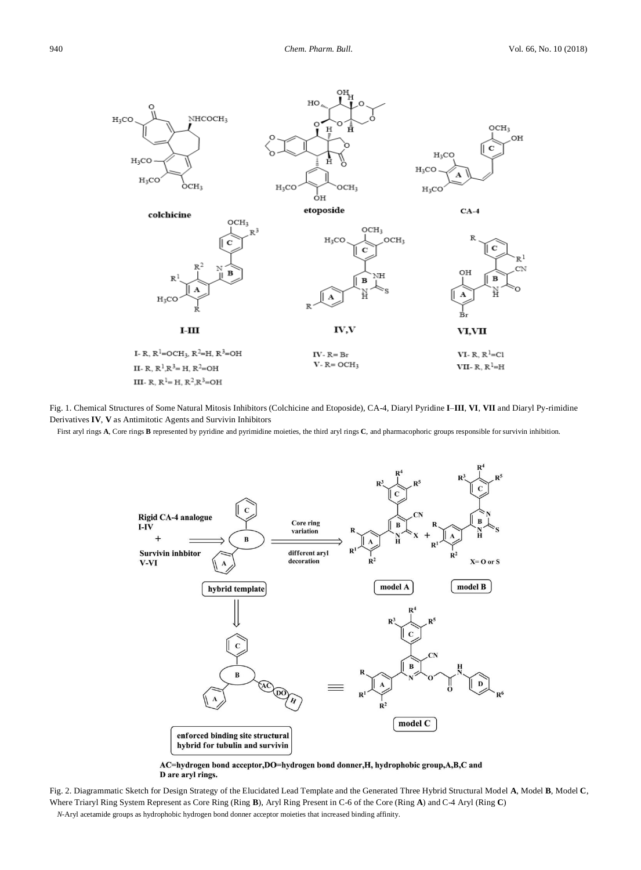

Fig. 1. Chemical Structures of Some Natural Mitosis Inhibitors (Colchicine and Etoposide), CA-4, Diaryl Pyridine **I**–**III**, **VI**, **VII** and Diaryl Py-rimidine Derivatives **IV**, **V** as Antimitotic Agents and Survivin Inhibitors

First aryl rings **A**, Core rings **B** represented by pyridine and pyrimidine moieties, the third aryl rings **C**, and pharmacophoric groups responsible for survivin inhibition.



AC=hydrogen bond acceptor, DO=hydrogen bond donner, H, hydrophobic group, A,B,C and D are aryl rings.

Fig. 2. Diagrammatic Sketch for Design Strategy of the Elucidated Lead Template and the Generated Three Hybrid Structural Model **A**, Model **B**, Model **C**, Where Triaryl Ring System Represent as Core Ring (Ring **B**), Aryl Ring Present in C-6 of the Core (Ring **A**) and C-4 Aryl (Ring **C**) *N*-Aryl acetamide groups as hydrophobic hydrogen bond donner acceptor moieties that increased binding affinity.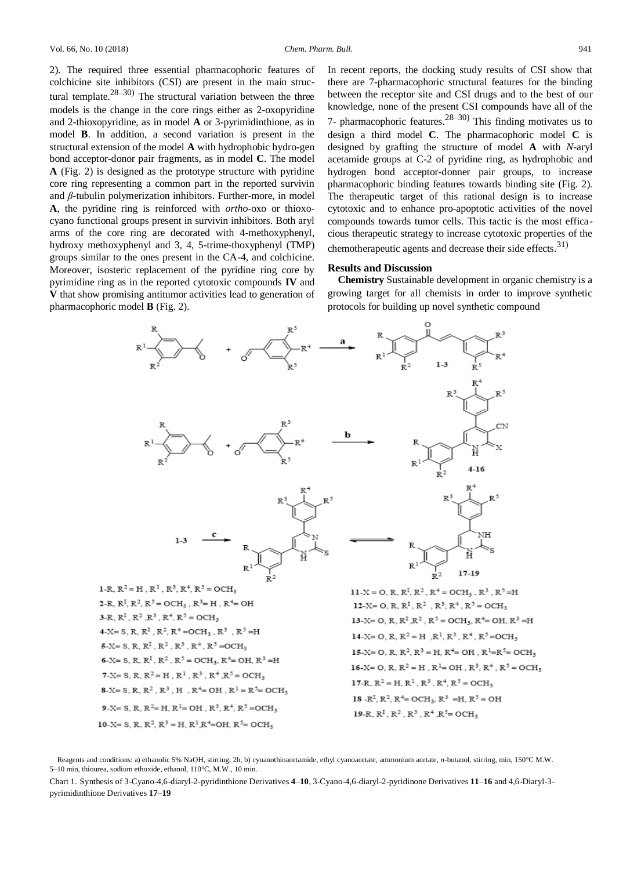2). The required three essential pharmacophoric features of colchicine site inhibitors (CSI) are present in the main structural template.<sup>28–30)</sup> The structural variation between the three models is the change in the core rings either as 2-oxopyridine and 2-thioxopyridine, as in model **A** or 3-pyrimidinthione, as in model **B**. In addition, a second variation is present in the structural extension of the model **A** with hydrophobic hydro-gen bond acceptor-donor pair fragments, as in model **C**. The model **A** (Fig. 2) is designed as the prototype structure with pyridine core ring representing a common part in the reported survivin and *β*-tubulin polymerization inhibitors. Further-more, in model **A**, the pyridine ring is reinforced with *ortho-*oxo or thioxocyano functional groups present in survivin inhibitors. Both aryl arms of the core ring are decorated with 4-methoxyphenyl, hydroxy methoxyphenyl and 3, 4, 5-trime-thoxyphenyl (TMP) groups similar to the ones present in the CA-4, and colchicine. Moreover, isosteric replacement of the pyridine ring core by pyrimidine ring as in the reported cytotoxic compounds **IV** and **V** that show promising antitumor activities lead to generation of pharmacophoric model **B** (Fig. 2).

In recent reports, the docking study results of CSI show that there are 7-pharmacophoric structural features for the binding between the receptor site and CSI drugs and to the best of our knowledge, none of the present CSI compounds have all of the 7- pharmacophoric features.<sup>28–30)</sup> This finding motivates us to design a third model **C**. The pharmacophoric model **C** is designed by grafting the structure of model **A** with *N*-aryl acetamide groups at C-2 of pyridine ring, as hydrophobic and hydrogen bond acceptor-donner pair groups, to increase pharmacophoric binding features towards binding site (Fig. 2). The therapeutic target of this rational design is to increase cytotoxic and to enhance pro-apoptotic activities of the novel compounds towards tumor cells. This tactic is the most efficacious therapeutic strategy to increase cytotoxic properties of the chemotherapeutic agents and decrease their side effects. $31$ )

#### **Results and Discussion**

**Chemistry** Sustainable development in organic chemistry is a growing target for all chemists in order to improve synthetic protocols for building up novel synthetic compound



10-X= S, R, R<sup>2</sup>, R<sup>3</sup> = H, R<sup>1</sup>, R<sup>4</sup>=OH, R<sup>5</sup>= OCH<sub>3</sub>

<sup>13-</sup>X= O, R, R<sup>I</sup>, R<sup>2</sup>, R<sup>5</sup> = OCH<sub>3</sub>, R<sup>4</sup>= OH, R<sup>3</sup> = H 14-X= O, R,  $R^2 = H$ ,  $R^1$ ,  $R^3$ ,  $R^4$ ,  $R^5 = OCH_3$ 15-X= O, R, R<sup>2</sup>, R<sup>3</sup> = H, R<sup>4</sup>= OH, R<sup>1</sup>=R<sup>5</sup>= OCH<sub>3</sub> 16-X= O, R,  $R^2 = H$ ,  $R^1 = OH$ ,  $R^3$ ,  $R^4$ ,  $R^5 = OCH$ , 19-R,  $R^1$ ,  $R^2$ ,  $R^3$ ,  $R^4$ ,  $R^5$  = OCH<sub>3</sub>

Reagents and conditions: a) ethanolic 5% NaOH, stirring, 2h, b) cynanothioacetamide, ethyl cyanoacetate, ammonium acetate, *n*-butanol, stirring, min, 150°C M.W. 5–10 min, thiourea, sodium ethoxide, ethanol, 110°C, M.W., 10 min.

Chart 1. Synthesis of 3-Cyano-4,6-diaryl-2-pyridinthione Derivatives **4**–**10**, 3-Cyano-4,6-diaryl-2-pyridinone Derivatives **11**–**16** and 4,6-Diaryl-3 pyrimidinthione Derivatives **17**–**19**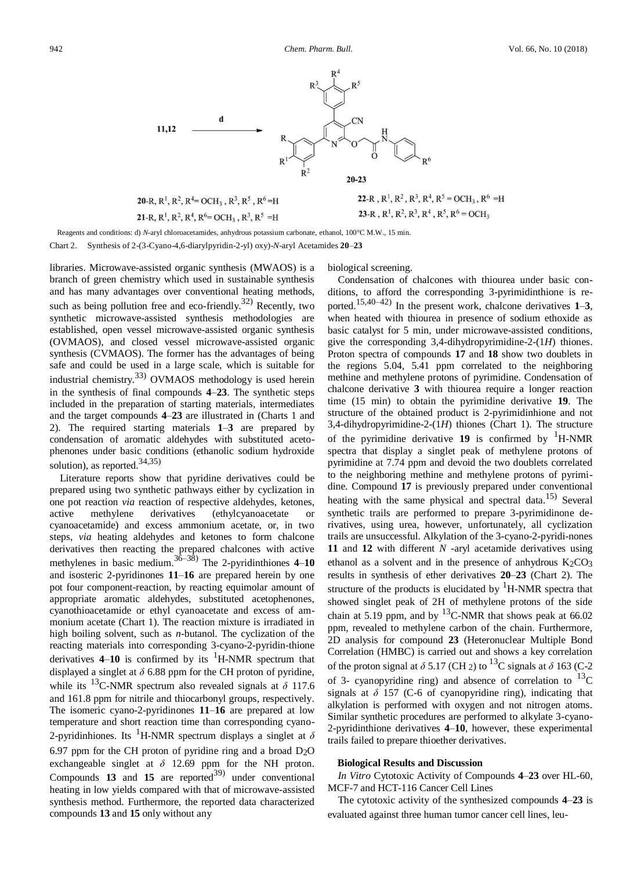

20-R,  $R^1$ ,  $R^2$ ,  $R^4$  = OCH<sub>3</sub>,  $R^3$ ,  $R^5$ ,  $R^6$  = H 21-R,  $R^1$ ,  $R^2$ ,  $R^4$ ,  $R^6$  = OCH<sub>2</sub>,  $R^3$ ,  $R^5$  = H

22-R,  $R^1$ ,  $R^2$ ,  $R^3$ ,  $R^4$ ,  $R^5$  = OCH<sub>3</sub>,  $R^6$  = H 23-R, R<sup>1</sup>, R<sup>2</sup>, R<sup>3</sup>, R<sup>4</sup>, R<sup>5</sup>, R<sup>6</sup> = OCH<sub>3</sub>

Reagents and conditions: d) *N*-aryl chloroacetamides, anhydrous potassium carbonate, ethanol, 100°C M.W., 15 min. Chart 2. Synthesis of 2-(3-Cyano-4,6-diarylpyridin-2-yl) oxy)-*N*-aryl Acetamides **20**–**23**

libraries. Microwave-assisted organic synthesis (MWAOS) is a branch of green chemistry which used in sustainable synthesis and has many advantages over conventional heating methods, such as being pollution free and eco-friendly.<sup>32)</sup> Recently, two synthetic microwave-assisted synthesis methodologies are established, open vessel microwave-assisted organic synthesis (OVMAOS), and closed vessel microwave-assisted organic synthesis (CVMAOS). The former has the advantages of being safe and could be used in a large scale, which is suitable for industrial chemistry.33) OVMAOS methodology is used herein in the synthesis of final compounds **4**–**23**. The synthetic steps included in the preparation of starting materials, intermediates and the target compounds **4**–**23** are illustrated in (Charts 1 and 2). The required starting materials **1**–**3** are prepared by condensation of aromatic aldehydes with substituted acetophenones under basic conditions (ethanolic sodium hydroxide solution), as reported.  $34,35$ )

Literature reports show that pyridine derivatives could be prepared using two synthetic pathways either by cyclization in one pot reaction *via* reaction of respective aldehydes, ketones, active methylene derivatives (ethylcyanoacetate or cyanoacetamide) and excess ammonium acetate, or, in two steps, *via* heating aldehydes and ketones to form chalcone derivatives then reacting the prepared chalcones with active methylenes in basic medium.36–38) The 2-pyridinthiones **4**–**10** and isosteric 2-pyridinones **11**–**16** are prepared herein by one pot four component-reaction, by reacting equimolar amount of appropriate aromatic aldehydes, substituted acetophenones, cyanothioacetamide or ethyl cyanoacetate and excess of ammonium acetate (Chart 1). The reaction mixture is irradiated in high boiling solvent, such as *n*-butanol. The cyclization of the reacting materials into corresponding 3-cyano-2-pyridin-thione derivatives  $4-10$  is confirmed by its  ${}^{1}$ H-NMR spectrum that displayed a singlet at  $\delta$  6.88 ppm for the CH proton of pyridine, while its <sup>13</sup>C-NMR spectrum also revealed signals at  $\delta$  117.6 and 161.8 ppm for nitrile and thiocarbonyl groups, respectively. The isomeric cyano-2-pyridinones **11**–**16** are prepared at low temperature and short reaction time than corresponding cyano-2-pyridinhiones. Its <sup>1</sup>H-NMR spectrum displays a singlet at  $\delta$ 6.97 ppm for the CH proton of pyridine ring and a broad D2O exchangeable singlet at *δ* 12.69 ppm for the NH proton. Compounds **13** and **15** are reported<sup>39)</sup> under conventional heating in low yields compared with that of microwave-assisted synthesis method. Furthermore, the reported data characterized compounds **13** and **15** only without any

biological screening.

Condensation of chalcones with thiourea under basic conditions, to afford the corresponding 3-pyrimidinthione is reported.15,40–42) In the present work, chalcone derivatives **1**–**3**, when heated with thiourea in presence of sodium ethoxide as basic catalyst for 5 min, under microwave-assisted conditions, give the corresponding 3,4-dihydropyrimidine-2-(1*H*) thiones. Proton spectra of compounds **17** and **18** show two doublets in the regions 5.04, 5.41 ppm correlated to the neighboring methine and methylene protons of pyrimidine. Condensation of chalcone derivative **3** with thiourea require a longer reaction time (15 min) to obtain the pyrimidine derivative **19**. The structure of the obtained product is 2-pyrimidinhione and not 3,4-dihydropyrimidine-2-(1*H*) thiones (Chart 1). The structure of the pyrimidine derivative  $19$  is confirmed by  $H-MMR$ spectra that display a singlet peak of methylene protons of pyrimidine at 7.74 ppm and devoid the two doublets correlated to the neighboring methine and methylene protons of pyrimidine. Compound **17** is previously prepared under conventional heating with the same physical and spectral data.<sup>15)</sup> Several synthetic trails are performed to prepare 3-pyrimidinone derivatives, using urea, however, unfortunately, all cyclization trails are unsuccessful. Alkylation of the 3-cyano-2-pyridi-nones **11** and **12** with different *N* -aryl acetamide derivatives using ethanol as a solvent and in the presence of anhydrous K2CO3 results in synthesis of ether derivatives **20**–**23** (Chart 2). The structure of the products is elucidated by  ${}^{1}$ H-NMR spectra that showed singlet peak of 2H of methylene protons of the side chain at 5.19 ppm, and by  $^{13}$ C-NMR that shows peak at 66.02 ppm, revealed to methylene carbon of the chain. Furthermore, 2D analysis for compound **23** (Heteronuclear Multiple Bond Correlation (HMBC) is carried out and shows a key correlation of the proton signal at  $\delta$  5.17 (CH 2) to <sup>13</sup>C signals at  $\delta$  163 (C-2) of 3- cyanopyridine ring) and absence of correlation to  $^{13}C$ signals at  $\delta$  157 (C-6 of cyanopyridine ring), indicating that alkylation is performed with oxygen and not nitrogen atoms. Similar synthetic procedures are performed to alkylate 3-cyano-2-pyridinthione derivatives **4**–**10**, however, these experimental trails failed to prepare thioether derivatives.

### **Biological Results and Discussion**

*In Vitro* Cytotoxic Activity of Compounds **4**–**23** over HL-60, MCF-7 and HCT-116 Cancer Cell Lines

The cytotoxic activity of the synthesized compounds **4**–**23** is evaluated against three human tumor cancer cell lines, leu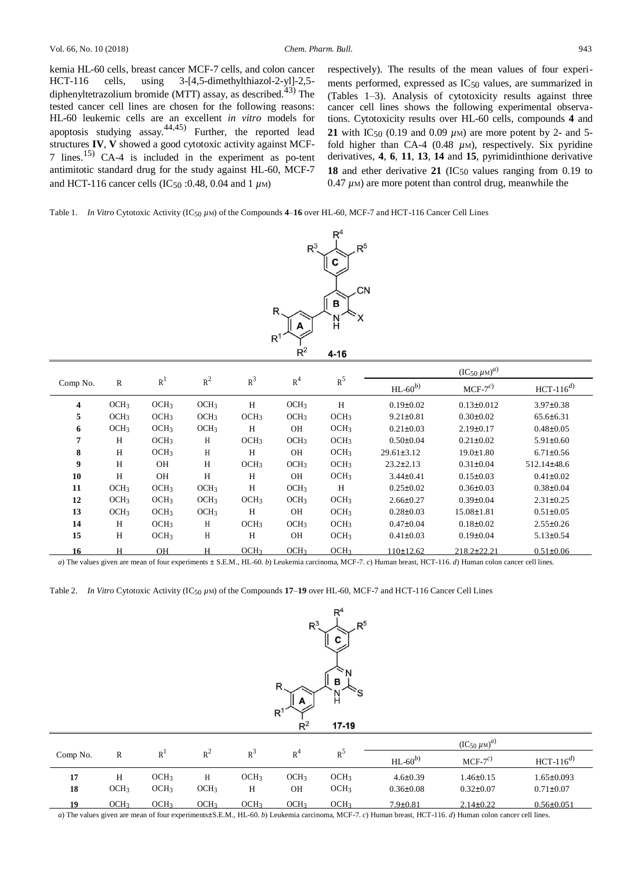kemia HL-60 cells, breast cancer MCF-7 cells, and colon cancer HCT-116 cells, using 3-[4,5-dimethylthiazol-2-yl]-2,5 diphenyltetrazolium bromide (MTT) assay, as described.<sup>43)</sup> The tested cancer cell lines are chosen for the following reasons: HL-60 leukemic cells are an excellent *in vitro* models for apoptosis studying assay.  $44,45$  Further, the reported lead structures **IV**, **V** showed a good cytotoxic activity against MCF-7 lines.15) CA-4 is included in the experiment as po-tent antimitotic standard drug for the study against HL-60, MCF-7 and HCT-116 cancer cells (IC50 :0.48, 0.04 and 1 *µ*M)

respectively). The results of the mean values of four experiments performed, expressed as IC50 values, are summarized in (Tables 1–3). Analysis of cytotoxicity results against three cancer cell lines shows the following experimental observations. Cytotoxicity results over HL-60 cells, compounds **4** and **21** with IC<sub>50</sub> (0.19 and 0.09  $\mu$ M) are more potent by 2- and 5fold higher than CA-4 (0.48  $\mu$ M), respectively. Six pyridine derivatives, **4**, **6**, **11**, **13**, **14** and **15**, pyrimidinthione derivative **18** and ether derivative **21** (IC<sub>50</sub> values ranging from 0.19 to  $0.47 \mu$ M) are more potent than control drug, meanwhile the

Table 1. *In Vitro* Cytotoxic Activity  $(IC_{50} \mu)$  of the Compounds **4–16** over HL-60, MCF-7 and HCT-116 Cancer Cell Lines



|          |                  |                  |                  |                  |                  |                  |                   | $\frac{(IC_{50} \mu M)^{a}}{a}$ |                   |  |
|----------|------------------|------------------|------------------|------------------|------------------|------------------|-------------------|---------------------------------|-------------------|--|
| Comp No. | $\mathbb{R}$     | R <sup>1</sup>   | $R^2$            | $R^3$            | R <sup>4</sup>   | $R^5$            | $HL$ -60 $^{(b)}$ | $MCF-7c$                        | $HCT-116^{d}$     |  |
| 4        | OCH <sub>3</sub> | OCH <sub>3</sub> | OCH <sub>3</sub> | H                | OCH <sub>3</sub> | H                | $0.19 \pm 0.02$   | $0.13 \pm 0.012$                | $3.97 \pm 0.38$   |  |
| 5        | OCH <sub>3</sub> | OCH <sub>3</sub> | OCH <sub>3</sub> | OCH <sub>3</sub> | OCH <sub>3</sub> | OCH <sub>3</sub> | $9.21 \pm 0.81$   | $0.30 \pm 0.02$                 | $65.6 \pm 6.31$   |  |
| 6        | OCH <sub>3</sub> | OCH <sub>3</sub> | OCH <sub>3</sub> | H                | <b>OH</b>        | OCH <sub>3</sub> | $0.21 \pm 0.03$   | $2.19 \pm 0.17$                 | $0.48 \pm 0.05$   |  |
| 7        | H                | OCH <sub>3</sub> | $\mathbf H$      | OCH <sub>3</sub> | OCH <sub>3</sub> | OCH <sub>3</sub> | $0.50 \pm 0.04$   | $0.21 \pm 0.02$                 | $5.91 \pm 0.60$   |  |
| 8        | H                | OCH <sub>3</sub> | Η                | H                | <b>OH</b>        | OCH <sub>3</sub> | $29.61 \pm 3.12$  | $19.0 \pm 1.80$                 | $6.71 \pm 0.56$   |  |
| 9        | H                | <b>OH</b>        | H                | OCH <sub>3</sub> | OCH <sub>3</sub> | OCH <sub>3</sub> | $23.2 \pm 2.13$   | $0.31 \pm 0.04$                 | $512.14 \pm 48.6$ |  |
| 10       | H                | <b>OH</b>        | H                | H                | <b>OH</b>        | OCH <sub>3</sub> | $3.44 \pm 0.41$   | $0.15 \pm 0.03$                 | $0.41 \pm 0.02$   |  |
| 11       | OCH <sub>3</sub> | OCH <sub>3</sub> | OCH <sub>3</sub> | H                | OCH <sub>3</sub> | H                | $0.25 \pm 0.02$   | $0.36 \pm 0.03$                 | $0.38 \pm 0.04$   |  |
| 12       | OCH <sub>3</sub> | OCH <sub>3</sub> | OCH <sub>3</sub> | OCH <sub>3</sub> | OCH <sub>3</sub> | OCH <sub>3</sub> | $2.66 \pm 0.27$   | $0.39 \pm 0.04$                 | $2.31 \pm 0.25$   |  |
| 13       | OCH <sub>3</sub> | OCH <sub>3</sub> | OCH <sub>3</sub> | H                | <b>OH</b>        | OCH <sub>3</sub> | $0.28 \pm 0.03$   | $15.08 \pm 1.81$                | $0.51 \pm 0.05$   |  |
| 14       | H                | OCH <sub>3</sub> | H                | OCH <sub>3</sub> | OCH <sub>3</sub> | OCH <sub>3</sub> | 0.47(pm)0.04      | $0.18 \pm 0.02$                 | $2.55 \pm 0.26$   |  |
| 15       | H                | OCH <sub>3</sub> | H                | H                | <b>OH</b>        | OCH <sub>3</sub> | $0.41 \pm 0.03$   | $0.19 \pm 0.04$                 | $5.13 \pm 0.54$   |  |
| 16       | H                | OH               | н                | OCH <sub>3</sub> | OCH <sub>3</sub> | OCH <sub>3</sub> | 110±12.62         | $218.2 \pm 22.21$               | $0.51 \pm 0.06$   |  |

*a*) The values given are mean of four experiments ± S.E.M., HL-60. *b*) Leukemia carcinoma, MCF-7. *c*) Human breast, HCT-116. *d*) Human colon cancer cell lines.

Table 2. *In Vitro* Cytotoxic Activity (IC<sub>50</sub>  $\mu$ M) of the Compounds **17–19** over HL-60, MCF-7 and HCT-116 Cancer Cell Lines



|          |                  |                  |                  |                  |                  |                  | $(IC_{50} \mu M)^{a}$ |                 |                  |
|----------|------------------|------------------|------------------|------------------|------------------|------------------|-----------------------|-----------------|------------------|
| Comp No. | R                | R <sup>1</sup>   | $R^2$            | $R^3$            | R <sup>4</sup>   | $R^3$            | HL- $60^{b}$          | $MCF-7c$        | $HCT-116^{d}$    |
| 17       | Н                | OCH <sub>3</sub> |                  | OCH <sub>3</sub> | OCH <sub>3</sub> | OCH <sub>3</sub> | $4.6 \pm 0.39$        | $1.46 \pm 0.15$ | $1.65 \pm 0.093$ |
| 18       | OCH <sub>3</sub> | OCH <sub>3</sub> | OCH <sub>3</sub> | Н                | ΟH               | OCH <sub>3</sub> | $0.36 \pm 0.08$       | $0.32 \pm 0.07$ | $0.71 \pm 0.07$  |
| 10       | OCH <sub>3</sub> | OCH <sub>3</sub> | OCH3             | OCH3             | OCH <sub>3</sub> | OCH <sub>3</sub> | $7.9 \pm 0.81$        | $2.14 \pm 0.22$ | $0.56 \pm 0.051$ |

*a*) The values given are mean of four experiments±S.E.M., HL-60. *b*) Leukemia carcinoma, MCF-7. *c*) Human breast, HCT-116. *d*) Human colon cancer cell lines.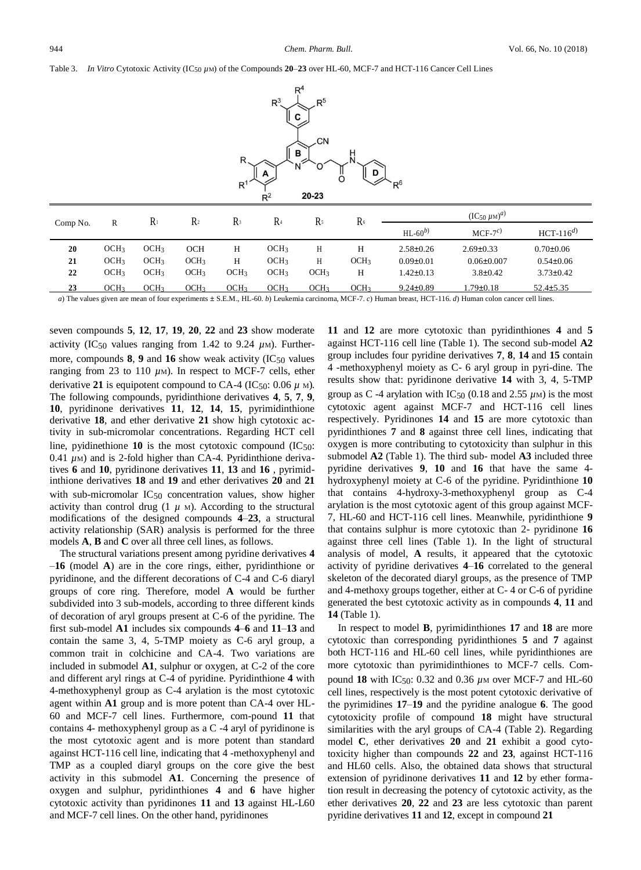### Table 3. *In Vitro* Cytotoxic Activity (IC<sub>50</sub>  $\mu$ M) of the Compounds **20–23** over HL-60, MCF-7 and HCT-116 Cancer Cell Lines



| Comp No. | R                | $R_1$            | $\mathbb{R}^2$   | R <sup>3</sup> | R <sub>4</sub>   | R۶               | R <sub>6</sub>   | ${(\text{IC}_{50} \mu \text{m})}^{a)}$ |                  |                 |
|----------|------------------|------------------|------------------|----------------|------------------|------------------|------------------|----------------------------------------|------------------|-----------------|
|          |                  |                  |                  |                |                  |                  |                  | $HL-60^{b}$                            | $MCF-7^{c}$      | $HCT-116^{d}$   |
| 20       | OCH <sub>3</sub> | OCH <sub>3</sub> | <b>OCH</b>       | Н              | OCH <sub>3</sub> | Н                | Н                | $2.58 \pm 0.26$                        | $2.69 \pm 0.33$  | $0.70 \pm 0.06$ |
| 21       | OCH <sub>3</sub> | OCH <sub>3</sub> | OCH <sub>3</sub> | Н              | OCH <sub>3</sub> | Н                | OCH <sub>3</sub> | $0.09 \pm 0.01$                        | $0.06 \pm 0.007$ | $0.54 \pm 0.06$ |
| 22       | OCH <sub>3</sub> | OCH <sub>3</sub> | OCH <sub>3</sub> | OCH3           | OCH <sub>3</sub> | OCH <sub>3</sub> | н                | $1.42 \pm 0.13$                        | $3.8 \pm 0.42$   | $3.73 \pm 0.42$ |
| 23       | OCH <sub>3</sub> | OCH <sub>3</sub> | OCH <sub>3</sub> | OCH3           | OCH <sub>3</sub> | OCH <sub>3</sub> | OCH <sub>3</sub> | $9.24 \pm 0.89$                        | $1.79 \pm 0.18$  | $52.4 \pm 5.35$ |

*a*) The values given are mean of four experiments  $\pm$  S.E.M., HL-60. *b*) Leukemia carcinoma, MCF-7. *c*) Human breast, HCT-116. *d*) Human colon cancer cell lines.

seven compounds **5**, **12**, **17**, **19**, **20**, **22** and **23** show moderate activity (IC<sub>50</sub> values ranging from 1.42 to 9.24  $\mu$ M). Furthermore, compounds **8**, **9** and **16** show weak activity (IC<sub>50</sub> values ranging from 23 to 110 *µ*M). In respect to MCF-7 cells, ether derivative 21 is equipotent compound to CA-4 (IC50:  $0.06 \mu$  M). The following compounds, pyridinthione derivatives **4**, **5**, **7**, **9**, **10**, pyridinone derivatives **11**, **12**, **14**, **15**, pyrimidinthione derivative **18**, and ether derivative **21** show high cytotoxic activity in sub-micromolar concentrations. Regarding HCT cell line, pyidinethione  $10$  is the most cytotoxic compound  $(IC_{50}:$  $0.41 \mu$ M) and is 2-fold higher than CA-4. Pyridinthione derivatives **6** and **10**, pyridinone derivatives **11**, **13** and **16** , pyrimidinthione derivatives **18** and **19** and ether derivatives **20** and **21** with sub-micromolar  $IC_{50}$  concentration values, show higher activity than control drug  $(1 \mu M)$ . According to the structural modifications of the designed compounds **4**–**23**, a structural activity relationship (SAR) analysis is performed for the three models **A**, **B** and **C** over all three cell lines, as follows.

The structural variations present among pyridine derivatives **4** –**16** (model **A**) are in the core rings, either, pyridinthione or pyridinone, and the different decorations of C-4 and C-6 diaryl groups of core ring. Therefore, model **A** would be further subdivided into 3 sub-models, according to three different kinds of decoration of aryl groups present at C-6 of the pyridine. The first sub-model **A1** includes six compounds **4**–**6** and **11**–**13** and contain the same 3, 4, 5-TMP moiety as C-6 aryl group, a common trait in colchicine and CA-4. Two variations are included in submodel **A1**, sulphur or oxygen, at C-2 of the core and different aryl rings at C-4 of pyridine. Pyridinthione **4** with 4-methoxyphenyl group as C-4 arylation is the most cytotoxic agent within **A1** group and is more potent than CA-4 over HL-60 and MCF-7 cell lines. Furthermore, com-pound **11** that contains 4- methoxyphenyl group as a C -4 aryl of pyridinone is the most cytotoxic agent and is more potent than standard against HCT-116 cell line, indicating that 4 -methoxyphenyl and TMP as a coupled diaryl groups on the core give the best activity in this submodel **A1**. Concerning the presence of oxygen and sulphur, pyridinthiones **4** and **6** have higher cytotoxic activity than pyridinones **11** and **13** against HL-L60 and MCF-7 cell lines. On the other hand, pyridinones

**11** and **12** are more cytotoxic than pyridinthiones **4** and **5**  against HCT-116 cell line (Table 1). The second sub-model **A2**  group includes four pyridine derivatives **7**, **8**, **14** and **15** contain 4 -methoxyphenyl moiety as C- 6 aryl group in pyri-dine. The results show that: pyridinone derivative **14** with 3, 4, 5-TMP group as C -4 arylation with IC<sub>50</sub> (0.18 and 2.55  $\mu$ M) is the most cytotoxic agent against MCF-7 and HCT-116 cell lines respectively. Pyridinones **14** and **15** are more cytotoxic than pyridinthiones **7** and **8** against three cell lines, indicating that oxygen is more contributing to cytotoxicity than sulphur in this submodel **A2** (Table 1). The third sub- model **A3** included three pyridine derivatives **9**, **10** and **16** that have the same 4 hydroxyphenyl moiety at C-6 of the pyridine. Pyridinthione **10** that contains 4-hydroxy-3-methoxyphenyl group as C-4 arylation is the most cytotoxic agent of this group against MCF-7, HL-60 and HCT-116 cell lines. Meanwhile, pyridinthione **9** that contains sulphur is more cytotoxic than 2- pyridinone **16** against three cell lines (Table 1). In the light of structural analysis of model, **A** results, it appeared that the cytotoxic activity of pyridine derivatives **4**–**16** correlated to the general skeleton of the decorated diaryl groups, as the presence of TMP and 4-methoxy groups together, either at C- 4 or C-6 of pyridine generated the best cytotoxic activity as in compounds **4**, **11** and **14** (Table 1).

In respect to model **B**, pyrimidinthiones **17** and **18** are more cytotoxic than corresponding pyridinthiones **5** and **7** against both HCT-116 and HL-60 cell lines, while pyridinthiones are more cytotoxic than pyrimidinthiones to MCF-7 cells. Compound **18** with IC50: 0.32 and 0.36 *µ*<sup>M</sup> over MCF-7 and HL-60 cell lines, respectively is the most potent cytotoxic derivative of the pyrimidines **17**–**19** and the pyridine analogue **6**. The good cytotoxicity profile of compound **18** might have structural similarities with the aryl groups of CA-4 (Table 2). Regarding model **C**, ether derivatives **20** and **21** exhibit a good cytotoxicity higher than compounds **22** and **23**, against HCT-116 and HL60 cells. Also, the obtained data shows that structural extension of pyridinone derivatives **11** and **12** by ether formation result in decreasing the potency of cytotoxic activity, as the ether derivatives **20**, **22** and **23** are less cytotoxic than parent pyridine derivatives **11** and **12**, except in compound **21**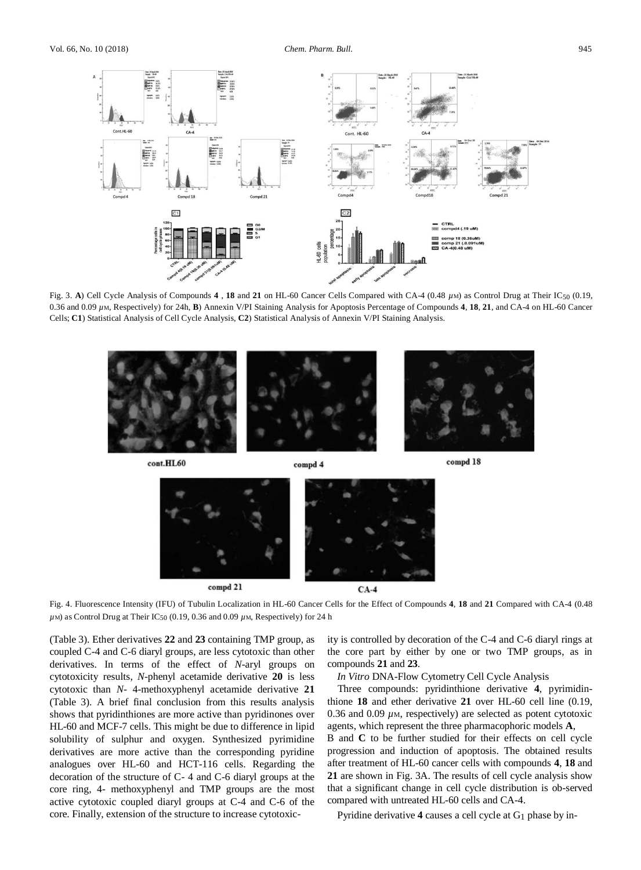

Fig. 3. **A**) Cell Cycle Analysis of Compounds **4** , **18** and **21** on HL-60 Cancer Cells Compared with CA-4 (0.48 *µ*M) as Control Drug at Their IC50 (0.19, 0.36 and 0.09 *µ*M, Respectively) for 24h, **B**) Annexin V/PI Staining Analysis for Apoptosis Percentage of Compounds **4**, **18**, **21**, and CA-4 on HL-60 Cancer Cells; **C1**) Statistical Analysis of Cell Cycle Analysis, **C2**) Statistical Analysis of Annexin V/PI Staining Analysis.



cont.HL60

compd 4



Fig. 4. Fluorescence Intensity (IFU) of Tubulin Localization in HL-60 Cancer Cells for the Effect of Compounds **4**, **18** and **21** Compared with CA-4 (0.48  $\mu$ M) as Control Drug at Their IC<sub>50</sub> (0.19, 0.36 and 0.09  $\mu$ M, Respectively) for 24 h

(Table 3). Ether derivatives **22** and **23** containing TMP group, as coupled C-4 and C-6 diaryl groups, are less cytotoxic than other derivatives. In terms of the effect of *N*-aryl groups on cytotoxicity results, *N*-phenyl acetamide derivative **20** is less cytotoxic than *N*- 4-methoxyphenyl acetamide derivative **21** (Table 3). A brief final conclusion from this results analysis shows that pyridinthiones are more active than pyridinones over HL-60 and MCF-7 cells. This might be due to difference in lipid solubility of sulphur and oxygen. Synthesized pyrimidine derivatives are more active than the corresponding pyridine analogues over HL-60 and HCT-116 cells. Regarding the decoration of the structure of C- 4 and C-6 diaryl groups at the core ring, 4- methoxyphenyl and TMP groups are the most active cytotoxic coupled diaryl groups at C-4 and C-6 of the core. Finally, extension of the structure to increase cytotoxicity is controlled by decoration of the C-4 and C-6 diaryl rings at the core part by either by one or two TMP groups, as in compounds **21** and **23**.

*In Vitro* DNA-Flow Cytometry Cell Cycle Analysis

Three compounds: pyridinthione derivative **4**, pyrimidinthione **18** and ether derivative **21** over HL-60 cell line (0.19, 0.36 and 0.09  $\mu$ <sub>M</sub>, respectively) are selected as potent cytotoxic agents, which represent the three pharmacophoric models **A**, B and **C** to be further studied for their effects on cell cycle progression and induction of apoptosis. The obtained results after treatment of HL-60 cancer cells with compounds **4**, **18** and **21** are shown in Fig. 3A. The results of cell cycle analysis show that a significant change in cell cycle distribution is ob-served compared with untreated HL-60 cells and CA-4.

Pyridine derivative **4** causes a cell cycle at G1 phase by in-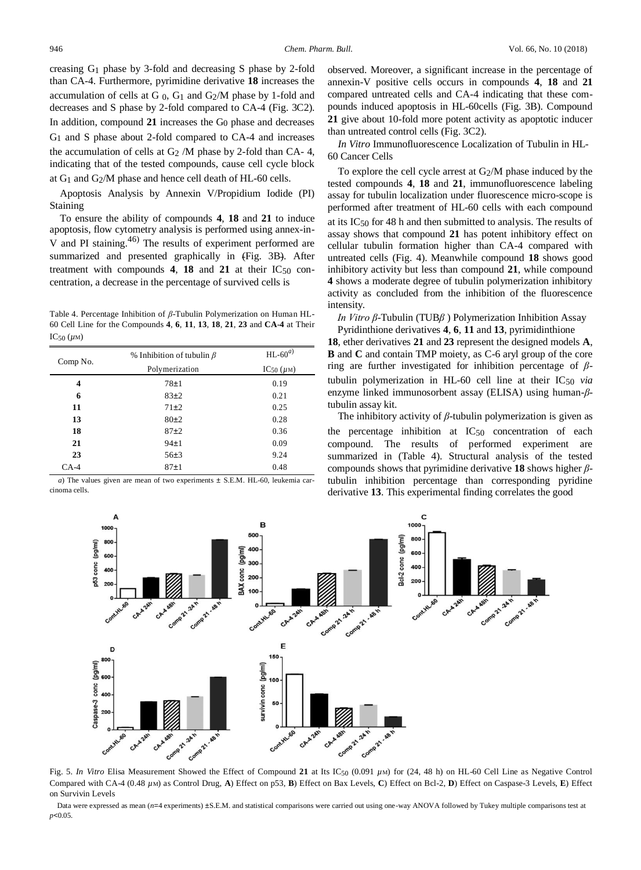creasing G1 phase by 3-fold and decreasing S phase by 2-fold than CA-4. Furthermore, pyrimidine derivative **18** increases the accumulation of cells at G  $_0$ , G<sub>1</sub> and G $_2$ /M phase by 1-fold and decreases and S phase by 2-fold compared to CA-4 (Fig. 3C2). In addition, compound **21** increases the G0 phase and decreases G1 and S phase about 2-fold compared to CA-4 and increases the accumulation of cells at  $G_2/M$  phase by 2-fold than CA- 4, indicating that of the tested compounds, cause cell cycle block at G1 and G2/M phase and hence cell death of HL-60 cells.

Apoptosis Analysis by Annexin V/Propidium Iodide (PI) Staining

To ensure the ability of compounds **4**, **18** and **21** to induce apoptosis, flow cytometry analysis is performed using annex-in-V and PI staining.<sup>46)</sup> The results of experiment performed are summarized and presented graphically in (Fig. 3B). After treatment with compounds  $4$ ,  $18$  and  $21$  at their IC<sub>50</sub> concentration, a decrease in the percentage of survived cells is

Table 4. Percentage Inhibition of *β*-Tubulin Polymerization on Human HL-60 Cell Line for the Compounds **4**, **6**, **11**, **13**, **18**, **21**, **23** and **CA**-**4** at Their IC50 (*µ*M)

| Comp No. | % Inhibition of tubulin $\beta$ | $HL$ -60 $^{(a)}$    |  |  |
|----------|---------------------------------|----------------------|--|--|
|          | Polymerization                  | $IC_{50}$ ( $\mu$ M) |  |  |
| 4        | $78\pm1$                        | 0.19                 |  |  |
| 6        | $83\pm2$                        | 0.21                 |  |  |
| 11       | $71\pm2$                        | 0.25                 |  |  |
| 13       | $80\pm2$                        | 0.28                 |  |  |
| 18       | $87+2$                          | 0.36                 |  |  |
| 21       | $94\pm1$                        | 0.09                 |  |  |
| 23       | $56\pm3$                        | 9.24                 |  |  |
| $CA-4$   | 87±1                            | 0.48                 |  |  |

*a*) The values given are mean of two experiments  $\pm$  S.E.M. HL-60, leukemia carcinoma cells.

observed. Moreover, a significant increase in the percentage of annexin-V positive cells occurs in compounds **4**, **18** and **21** compared untreated cells and CA-4 indicating that these compounds induced apoptosis in HL-60cells (Fig. 3B). Compound **21** give about 10-fold more potent activity as apoptotic inducer than untreated control cells (Fig. 3C2).

*In Vitro* Immunofluorescence Localization of Tubulin in HL-60 Cancer Cells

To explore the cell cycle arrest at G2/M phase induced by the tested compounds **4**, **18** and **21**, immunofluorescence labeling assay for tubulin localization under fluorescence micro-scope is performed after treatment of HL-60 cells with each compound at its IC50 for 48 h and then submitted to analysis. The results of assay shows that compound **21** has potent inhibitory effect on cellular tubulin formation higher than CA-4 compared with untreated cells (Fig. 4). Meanwhile compound **18** shows good inhibitory activity but less than compound **21**, while compound **4** shows a moderate degree of tubulin polymerization inhibitory activity as concluded from the inhibition of the fluorescence intensity.

*In Vitro β*-Tubulin (TUB*β* ) Polymerization Inhibition Assay

Pyridinthione derivatives **4**, **6**, **11** and **13**, pyrimidinthione **18**, ether derivatives **21** and **23** represent the designed models **A**, **B** and **C** and contain TMP moiety, as C-6 aryl group of the core ring are further investigated for inhibition percentage of *β*tubulin polymerization in HL-60 cell line at their IC50 *via*  enzyme linked immunosorbent assay (ELISA) using human-*β*tubulin assay kit.

The inhibitory activity of *β*-tubulin polymerization is given as the percentage inhibition at IC50 concentration of each compound. The results of performed experiment are summarized in (Table 4). Structural analysis of the tested compounds shows that pyrimidine derivative **18** shows higher *β*tubulin inhibition percentage than corresponding pyridine derivative **13**. This experimental finding correlates the good



Fig. 5. *In Vitro* Elisa Measurement Showed the Effect of Compound **21** at Its IC50 (0.091 *µ*M) for (24, 48 h) on HL-60 Cell Line as Negative Control Compared with CA-4 (0.48 *µ*M) as Control Drug, **A**) Effect on p53, **B**) Effect on Bax Levels, **C**) Effect on Bcl-2, **D**) Effect on Caspase-3 Levels, **E**) Effect on Survivin Levels

Data were expressed as mean (*n*=4 experiments) ±S.E.M. and statistical comparisons were carried out using one-way ANOVA followed by Tukey multiple comparisons test at *p*<0.05.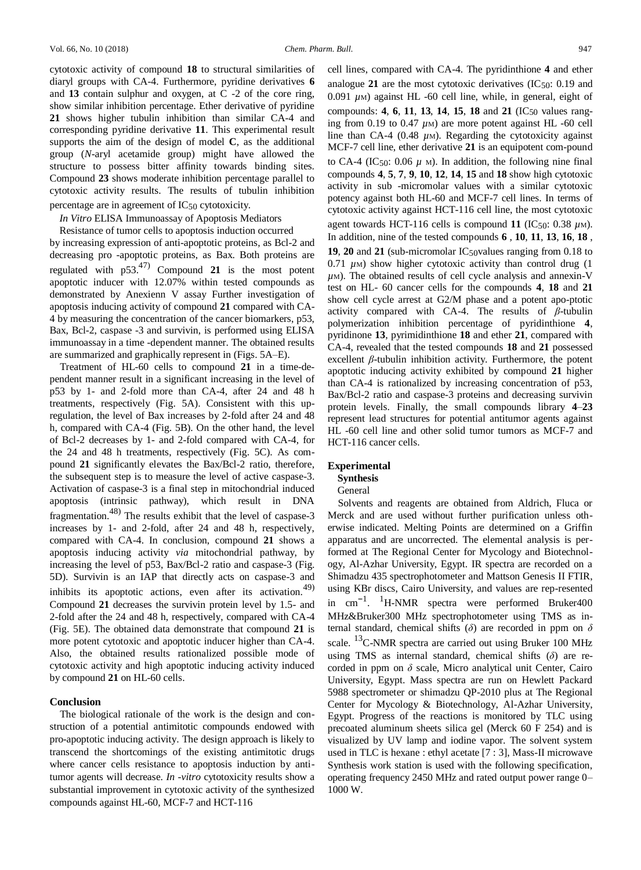cytotoxic activity of compound **18** to structural similarities of diaryl groups with CA-4. Furthermore, pyridine derivatives **6** and **13** contain sulphur and oxygen, at C -2 of the core ring, show similar inhibition percentage. Ether derivative of pyridine **21** shows higher tubulin inhibition than similar CA-4 and corresponding pyridine derivative **11**. This experimental result supports the aim of the design of model **C**, as the additional group (*N*-aryl acetamide group) might have allowed the structure to possess bitter affinity towards binding sites. Compound **23** shows moderate inhibition percentage parallel to cytotoxic activity results. The results of tubulin inhibition

percentage are in agreement of IC50 cytotoxicity.

## *In Vitro* ELISA Immunoassay of Apoptosis Mediators

Resistance of tumor cells to apoptosis induction occurred by increasing expression of anti-apoptotic proteins, as Bcl-2 and decreasing pro -apoptotic proteins, as Bax. Both proteins are regulated with p53.47) Compound **21** is the most potent apoptotic inducer with 12.07% within tested compounds as demonstrated by Anexienn V assay Further investigation of apoptosis inducing activity of compound **21** compared with CA-4 by measuring the concentration of the cancer biomarkers, p53, Bax, Bcl-2, caspase -3 and survivin, is performed using ELISA immunoassay in a time -dependent manner. The obtained results are summarized and graphically represent in (Figs. 5A–E).

Treatment of HL-60 cells to compound **21** in a time-dependent manner result in a significant increasing in the level of p53 by 1- and 2-fold more than CA-4, after 24 and 48 h treatments, respectively (Fig. 5A). Consistent with this upregulation, the level of Bax increases by 2-fold after 24 and 48 h, compared with CA-4 (Fig. 5B). On the other hand, the level of Bcl-2 decreases by 1- and 2-fold compared with CA-4, for the 24 and 48 h treatments, respectively (Fig. 5C). As compound **21** significantly elevates the Bax/Bcl-2 ratio, therefore, the subsequent step is to measure the level of active caspase-3. Activation of caspase-3 is a final step in mitochondrial induced apoptosis (intrinsic pathway), which result in DNA fragmentation.48) The results exhibit that the level of caspase-3 increases by 1- and 2-fold, after 24 and 48 h, respectively, compared with CA-4. In conclusion, compound **21** shows a apoptosis inducing activity *via* mitochondrial pathway, by increasing the level of p53, Bax/Bcl-2 ratio and caspase-3 (Fig. 5D). Survivin is an IAP that directly acts on caspase-3 and inhibits its apoptotic actions, even after its activation.<sup>49)</sup> Compound **21** decreases the survivin protein level by 1.5- and 2-fold after the 24 and 48 h, respectively, compared with CA-4 (Fig. 5E). The obtained data demonstrate that compound **21** is more potent cytotoxic and apoptotic inducer higher than CA-4. Also, the obtained results rationalized possible mode of cytotoxic activity and high apoptotic inducing activity induced by compound **21** on HL-60 cells.

#### **Conclusion**

The biological rationale of the work is the design and construction of a potential antimitotic compounds endowed with pro-apoptotic inducing activity. The design approach is likely to transcend the shortcomings of the existing antimitotic drugs where cancer cells resistance to apoptosis induction by antitumor agents will decrease. *In* -*vitro* cytotoxicity results show a substantial improvement in cytotoxic activity of the synthesized compounds against HL-60, MCF-7 and HCT-116

cell lines, compared with CA-4. The pyridinthione **4** and ether analogue  $21$  are the most cytotoxic derivatives  $(IC_{50}: 0.19)$  and 0.091 *µ*M) against HL -60 cell line, while, in general, eight of compounds: **4**, **6**, **11**, **13**, **14**, **15**, **18** and **21** (IC50 values ranging from 0.19 to 0.47  $\mu$ <sub>M</sub>) are more potent against HL -60 cell line than CA-4 (0.48 *μ*M). Regarding the cytotoxicity against MCF-7 cell line, ether derivative **21** is an equipotent com-pound to CA-4 (IC<sub>50</sub>: 0.06  $\mu$  <sub>M</sub>). In addition, the following nine final compounds **4**, **5**, **7**, **9**, **10**, **12**, **14**, **15** and **18** show high cytotoxic activity in sub -micromolar values with a similar cytotoxic potency against both HL-60 and MCF-7 cell lines. In terms of cytotoxic activity against HCT-116 cell line, the most cytotoxic agent towards HCT-116 cells is compound 11 (IC<sub>50</sub>: 0.38  $\mu$ M). In addition, nine of the tested compounds **6** , **10**, **11**, **13**, **16**, **18** , **19, 20 and 21** (sub-micromolar IC<sub>50</sub>values ranging from 0.18 to 0.71 *µ*M) show higher cytotoxic activity than control drug (1  $\mu$ M). The obtained results of cell cycle analysis and annexin-V test on HL- 60 cancer cells for the compounds **4**, **18** and **21** show cell cycle arrest at G2/M phase and a potent apo-ptotic activity compared with CA-4. The results of *β*-tubulin polymerization inhibition percentage of pyridinthione **4**, pyridinone **13**, pyrimidinthione **18** and ether **21**, compared with CA-4, revealed that the tested compounds **18** and **21** possessed excellent *β*-tubulin inhibition activity. Furthermore, the potent apoptotic inducing activity exhibited by compound **21** higher than CA-4 is rationalized by increasing concentration of p53, Bax/Bcl-2 ratio and caspase-3 proteins and decreasing survivin protein levels. Finally, the small compounds library **4**–**23**  represent lead structures for potential antitumor agents against HL -60 cell line and other solid tumor tumors as MCF-7 and HCT-116 cancer cells.

#### **Experimental**

## **Synthesis**

## General

Solvents and reagents are obtained from Aldrich, Fluca or Merck and are used without further purification unless otherwise indicated. Melting Points are determined on a Griffin apparatus and are uncorrected. The elemental analysis is performed at The Regional Center for Mycology and Biotechnology, Al-Azhar University, Egypt. IR spectra are recorded on a Shimadzu 435 spectrophotometer and Mattson Genesis II FTIR, using KBr discs, Cairo University, and values are rep-resented in cm−<sup>1</sup> . <sup>1</sup>H-NMR spectra were performed Bruker400 MHz&Bruker300 MHz spectrophotometer using TMS as internal standard, chemical shifts (*δ*) are recorded in ppm on *δ* scale. <sup>13</sup>C-NMR spectra are carried out using Bruker 100 MHz using TMS as internal standard, chemical shifts (*δ*) are recorded in ppm on *δ* scale, Micro analytical unit Center, Cairo University, Egypt. Mass spectra are run on Hewlett Packard 5988 spectrometer or shimadzu QP-2010 plus at The Regional Center for Mycology & Biotechnology, Al-Azhar University, Egypt. Progress of the reactions is monitored by TLC using precoated aluminum sheets silica gel (Merck 60 F 254) and is visualized by UV lamp and iodine vapor. The solvent system used in TLC is hexane : ethyl acetate [7 : 3], Mass-II microwave Synthesis work station is used with the following specification, operating frequency 2450 MHz and rated output power range 0– 1000 W.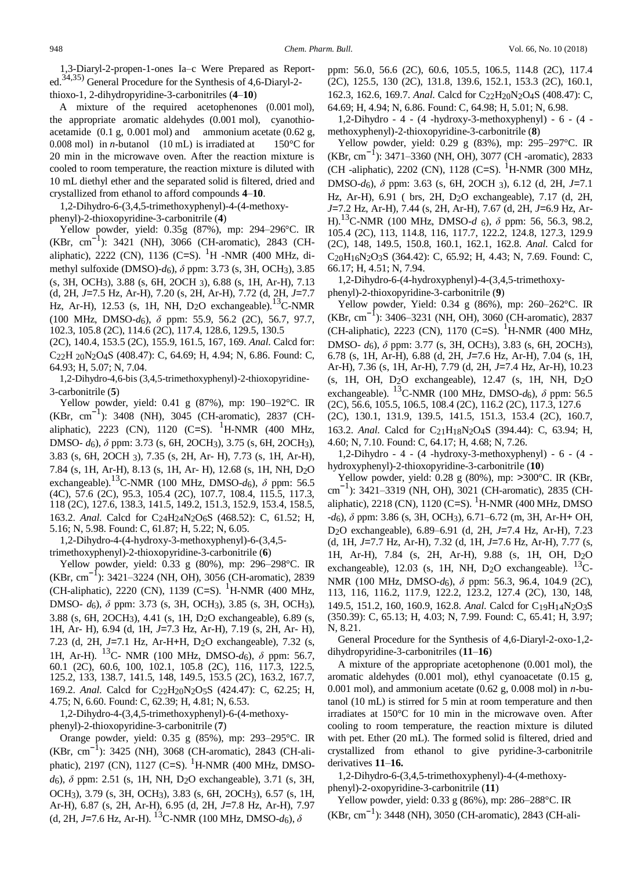A mixture of the required acetophenones (0.001 mol), the appropriate aromatic aldehydes (0.001 mol), cyanothioacetamide  $(0.1 \text{ g}, 0.001 \text{ mol})$  and ammonium acetate  $(0.62 \text{ g},$ 0.008 mol) in *n*-butanol (10 mL) is irradiated at  $150^{\circ}$ C for 20 min in the microwave oven. After the reaction mixture is cooled to room temperature, the reaction mixture is diluted with 10 mL diethyl ether and the separated solid is filtered, dried and crystallized from ethanol to afford compounds **4**–**10**.

1,2-Dihydro-6-(3,4,5-trimethoxyphenyl)-4-(4-methoxyphenyl)-2-thioxopyridine-3-carbonitrile (**4**)

Yellow powder, yield: 0.35g (87%), mp: 294–296°C. IR (KBr, cm−<sup>1</sup> ): 3421 (NH), 3066 (CH-aromatic), 2843 (CHaliphatic), 2222 (CN), 1136 (C=S). <sup>1</sup>H -NMR (400 MHz, dimethyl sulfoxide (DMSO)-*d*6), *δ* ppm: 3.73 (s, 3H, OCH3), 3.85 (s, 3H, OCH3), 3.88 (s, 6H, 2OCH 3), 6.88 (s, 1H, Ar-H), 7.13 (d, 2H, *J*=7.5 Hz, Ar-H), 7.20 (s, 2H, Ar-H), 7.72 (d, 2H, *J*=7.7 Hz, Ar-H), 12.53 (s, 1H, NH, D<sub>2</sub>O exchangeable).<sup>13</sup>C-NMR (100 MHz, DMSO-*d*6), *δ* ppm: 55.9, 56.2 (2C), 56.7, 97.7, 102.3, 105.8 (2C), 114.6 (2C), 117.4, 128.6, 129.5, 130.5

(2C), 140.4, 153.5 (2C), 155.9, 161.5, 167, 169. *Anal.* Calcd for: C22H 20N2O4S (408.47): C, 64.69; H, 4.94; N, 6.86. Found: C, 64.93; H, 5.07; N, 7.04.

1,2-Dihydro-4,6-bis (3,4,5-trimethoxyphenyl)-2-thioxopyridine-3-carbonitrile (**5**)

Yellow powder, yield: 0.41 g (87%), mp: 190–192°C. IR (KBr, cm−<sup>1</sup> ): 3408 (NH), 3045 (CH-aromatic), 2837 (CHaliphatic), 2223 (CN), 1120 (C=S). <sup>1</sup>H-NMR (400 MHz, DMSO- *d*6), *δ* ppm: 3.73 (s, 6H, 2OCH3), 3.75 (s, 6H, 2OCH3), 3.83 (s, 6H, 2OCH 3), 7.35 (s, 2H, Ar- H), 7.73 (s, 1H, Ar-H), 7.84 (s, 1H, Ar-H), 8.13 (s, 1H, Ar- H), 12.68 (s, 1H, NH, D2O exchangeable).13C-NMR (100 MHz, DMSO-*d*6), *δ* ppm: 56.5 (4C), 57.6 (2C), 95.3, 105.4 (2C), 107.7, 108.4, 115.5, 117.3, 118 (2C), 127.6, 138.3, 141.5, 149.2, 151.3, 152.9, 153.4, 158.5, 163.2. *Anal.* Calcd for C24H24N2O6S (468.52): C, 61.52; H, 5.16; N, 5.98. Found: C, 61.87; H, 5.22; N, 6.05.

1,2-Dihydro-4-(4-hydroxy-3-methoxyphenyl)-6-(3,4,5 trimethoxyphenyl)-2-thioxopyridine-3-carbonitrile (**6**)

Yellow powder, yield: 0.33 g (80%), mp: 296–298°C. IR (KBr, cm−<sup>1</sup> ): 3421–3224 (NH, OH), 3056 (CH-aromatic), 2839 (CH-aliphatic), 2220 (CN), 1139 (C=S). <sup>1</sup>H-NMR (400 MHz, DMSO- *d*6), *δ* ppm: 3.73 (s, 3H, OCH3), 3.85 (s, 3H, OCH3), 3.88 (s, 6H, 2OCH3), 4.41 (s, 1H, D2O exchangeable), 6.89 (s, 1H, Ar- H), 6.94 (d, 1H, *J*=7.3 Hz, Ar-H), 7.19 (s, 2H, Ar- H), 7.23 (d, 2H, *J*=7.1 Hz, Ar-H+H, D2O exchangeable), 7.32 (s, 1H, Ar-H). 13C- NMR (100 MHz, DMSO-*d*6), *δ* ppm: 56.7, 60.1 (2C), 60.6, 100, 102.1, 105.8 (2C), 116, 117.3, 122.5, 125.2, 133, 138.7, 141.5, 148, 149.5, 153.5 (2C), 163.2, 167.7, 169.2. *Anal.* Calcd for C22H20N2O5S (424.47): C, 62.25; H, 4.75; N, 6.60. Found: C, 62.39; H, 4.81; N, 6.53.

1,2-Dihydro-4-(3,4,5-trimethoxyphenyl)-6-(4-methoxyphenyl)-2-thioxopyridine-3-carbonitrile (**7**)

Orange powder, yield: 0.35 g (85%), mp: 293–295°C. IR (KBr, cm−<sup>1</sup> ): 3425 (NH), 3068 (CH-aromatic), 2843 (CH-aliphatic), 2197 (CN), 1127 (C=S). <sup>1</sup>H-NMR (400 MHz, DMSO*d*6), *δ* ppm: 2.51 (s, 1H, NH, D2O exchangeable), 3.71 (s, 3H, OCH3), 3.79 (s, 3H, OCH3), 3.83 (s, 6H, 2OCH3), 6.57 (s, 1H, Ar-H), 6.87 (s, 2H, Ar-H), 6.95 (d, 2H, *J*=7.8 Hz, Ar-H), 7.97 (d, 2H, *J*=7.6 Hz, Ar-H). <sup>13</sup>C-NMR (100 MHz, DMSO-*d*<sub>6</sub>),  $\delta$ 

ppm: 56.0, 56.6 (2C), 60.6, 105.5, 106.5, 114.8 (2C), 117.4 (2C), 125.5, 130 (2C), 131.8, 139.6, 152.1, 153.3 (2C), 160.1, 162.3, 162.6, 169.7. *Anal.* Calcd for C<sub>22</sub>H<sub>20</sub>N<sub>2</sub>O<sub>4</sub>S (408.47): C, 64.69; H, 4.94; N, 6.86. Found: C, 64.98; H, 5.01; N, 6.98.

1,2-Dihydro - 4 - (4 -hydroxy-3-methoxyphenyl) - 6 - (4 methoxyphenyl)-2-thioxopyridine-3-carbonitrile (**8**)

Yellow powder, yield: 0.29 g (83%), mp: 295–297°C. IR (KBr, cm−<sup>1</sup> ): 3471–3360 (NH, OH), 3077 (CH -aromatic), 2833 (CH -aliphatic), 2202 (CN), 1128 (C=S). <sup>1</sup>H-NMR (300 MHz, DMSO-*d*6), *δ* ppm: 3.63 (s, 6H, 2OCH 3), 6.12 (d, 2H, *J*=7.1 Hz, Ar-H), 6.91 ( brs, 2H, D2O exchangeable), 7.17 (d, 2H, *J*=7.2 Hz, Ar-H), 7.44 (s, 2H, Ar-H), 7.67 (d, 2H, *J*=6.9 Hz, Ar-H).13C-NMR (100 MHz, DMSO-*d* 6), *δ* ppm: 56, 56.3, 98.2, 105.4 (2C), 113, 114.8, 116, 117.7, 122.2, 124.8, 127.3, 129.9 (2C), 148, 149.5, 150.8, 160.1, 162.1, 162.8. *Anal.* Calcd for C20H16N2O3S (364.42): C, 65.92; H, 4.43; N, 7.69. Found: C, 66.17; H, 4.51; N, 7.94.

1,2-Dihydro-6-(4-hydroxyphenyl)-4-(3,4,5-trimethoxyphenyl)-2-thioxopyridine-3-carbonitrile (**9**)

Yellow powder, Yield: 0.34 g (86%), mp: 260–262°C. IR (KBr, cm−<sup>1</sup> ): 3406–3231 (NH, OH), 3060 (CH-aromatic), 2837 (CH-aliphatic), 2223 (CN), 1170 (C=S).  $^{1}$ H-NMR (400 MHz, DMSO- *d*6), *δ* ppm: 3.77 (s, 3H, OCH3), 3.83 (s, 6H, 2OCH3), 6.78 (s, 1H, Ar-H), 6.88 (d, 2H, *J*=7.6 Hz, Ar-H), 7.04 (s, 1H, Ar-H), 7.36 (s, 1H, Ar-H), 7.79 (d, 2H, *J*=7.4 Hz, Ar-H), 10.23 (s, 1H, OH, D2O exchangeable), 12.47 (s, 1H, NH, D2O exchangeable). 13C-NMR (100 MHz, DMSO-*d*6), *δ* ppm: 56.5 (2C), 56.6, 105.5, 106.5, 108.4 (2C), 116.2 (2C), 117.3, 127.6 (2C), 130.1, 131.9, 139.5, 141.5, 151.3, 153.4 (2C), 160.7, 163.2. *Anal.* Calcd for C<sub>21</sub>H<sub>18</sub>N<sub>2</sub>O<sub>4</sub>S (394.44): C, 63.94; H, 4.60; N, 7.10. Found: C, 64.17; H, 4.68; N, 7.26.

1,2-Dihydro - 4 - (4 -hydroxy-3-methoxyphenyl) - 6 - (4 hydroxyphenyl)-2-thioxopyridine-3-carbonitrile (**10**)

Yellow powder, yield: 0.28 g (80%), mp: >300°C. IR (KBr, cm−<sup>1</sup> ): 3421–3319 (NH, OH), 3021 (CH-aromatic), 2835 (CHaliphatic), 2218 (CN), 1120 (C=S). <sup>1</sup>H-NMR (400 MHz, DMSO -*d*6), *δ* ppm: 3.86 (s, 3H, OCH3), 6.71–6.72 (m, 3H, Ar-H+ OH, D2O exchangeable), 6.89–6.91 (d, 2H, *J*=7.4 Hz, Ar-H), 7.23 (d, 1H, *J*=7.7 Hz, Ar-H), 7.32 (d, 1H, *J*=7.6 Hz, Ar-H), 7.77 (s, 1H, Ar-H), 7.84 (s, 2H, Ar-H), 9.88 (s, 1H, OH, D2O exchangeable), 12.03 (s, 1H, NH, D<sub>2</sub>O exchangeable). <sup>13</sup>C-NMR (100 MHz, DMSO-*d*6), *δ* ppm: 56.3, 96.4, 104.9 (2C), 113, 116, 116.2, 117.9, 122.2, 123.2, 127.4 (2C), 130, 148, 149.5, 151.2, 160, 160.9, 162.8. *Anal.* Calcd for C19H14N2O3S (350.39): C, 65.13; H, 4.03; N, 7.99. Found: C, 65.41; H, 3.97; N, 8.21.

General Procedure for the Synthesis of 4,6-Diaryl-2-oxo-1,2 dihydropyridine-3-carbonitriles (**11**–**16**)

A mixture of the appropriate acetophenone (0.001 mol), the aromatic aldehydes (0.001 mol), ethyl cyanoacetate (0.15 g, 0.001 mol), and ammonium acetate (0.62 g, 0.008 mol) in *n*-butanol (10 mL) is stirred for 5 min at room temperature and then irradiates at 150°C for 10 min in the microwave oven. After cooling to room temperature, the reaction mixture is diluted with pet. Ether (20 mL). The formed solid is filtered, dried and crystallized from ethanol to give pyridine-3-carbonitrile derivatives **11**–**16.**

1,2-Dihydro-6-(3,4,5-trimethoxyphenyl)-4-(4-methoxyphenyl)-2-oxopyridine-3-carbonitrile (**11**)

Yellow powder, yield: 0.33 g (86%), mp: 286–288°C. IR (KBr, cm−<sup>1</sup> ): 3448 (NH), 3050 (CH-aromatic), 2843 (CH-ali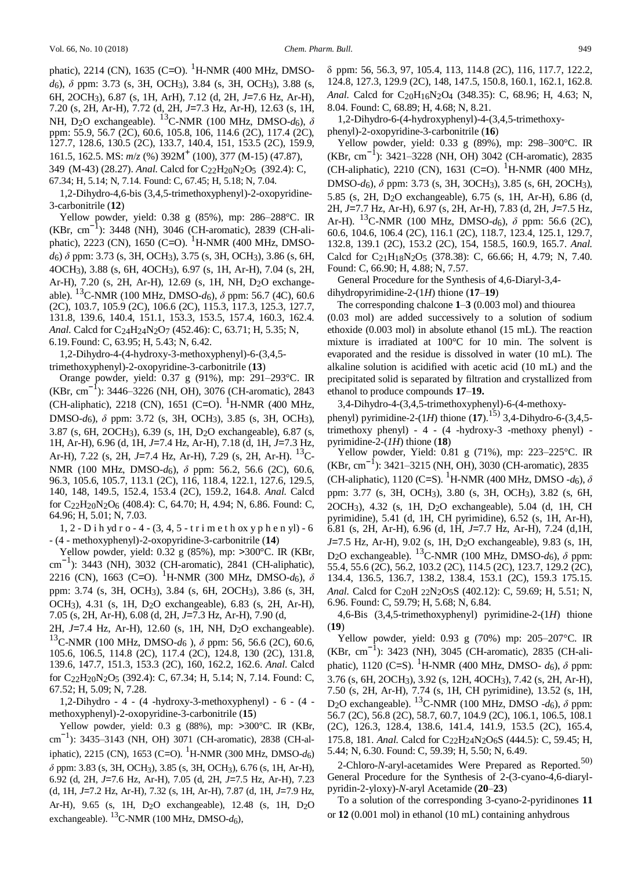phatic), 2214 (CN), 1635 (C=O). <sup>1</sup>H-NMR (400 MHz, DMSO*d*6), *δ* ppm: 3.73 (s, 3H, OCH3), 3.84 (s, 3H, OCH3), 3.88 (s, 6H, 2OCH3), 6.87 (s, 1H, ArH), 7.12 (d, 2H, *J*=7.6 Hz, Ar-H), 7.20 (s, 2H, Ar-H), 7.72 (d, 2H, *J*=7.3 Hz, Ar-H), 12.63 (s, 1H, NH, D2O exchangeable). 13C-NMR (100 MHz, DMSO-*d*6), *δ* ppm: 55.9, 56.7 (2C), 60.6, 105.8, 106, 114.6 (2C), 117.4 (2C), 127.7, 128.6, 130.5 (2C), 133.7, 140.4, 151, 153.5 (2C), 159.9, 161.5, 162.5. MS:  $m/z$  (%) 392M<sup>+</sup> (100), 377 (M-15) (47.87), 349 (M-43) (28.27). *Anal.* Calcd for C<sub>22</sub>H<sub>20</sub>N<sub>2</sub>O<sub>5</sub> (392.4): C,

67.34; H, 5.14; N, 7.14. Found: C, 67.45; H, 5.18; N, 7.04.

1,2-Dihydro-4,6-bis (3,4,5-trimethoxyphenyl)-2-oxopyridine-3-carbonitrile (**12**)

Yellow powder, yield: 0.38 g (85%), mp: 286–288°C. IR (KBr, cm−<sup>1</sup> ): 3448 (NH), 3046 (CH-aromatic), 2839 (CH-aliphatic), 2223 (CN), 1650 (C=O). <sup>1</sup>H-NMR (400 MHz, DMSO*d*6) *δ* ppm: 3.73 (s, 3H, OCH3), 3.75 (s, 3H, OCH3), 3.86 (s, 6H, 4OCH3), 3.88 (s, 6H, 4OCH3), 6.97 (s, 1H, Ar-H), 7.04 (s, 2H, Ar-H), 7.20 (s, 2H, Ar-H), 12.69 (s, 1H, NH, D2O exchangeable). 13C-NMR (100 MHz, DMSO-*d*6), *δ* ppm: 56.7 (4C), 60.6 (2C), 103.7, 105.9 (2C), 106.6 (2C), 115.3, 117.3, 125.3, 127.7, 131.8, 139.6, 140.4, 151.1, 153.3, 153.5, 157.4, 160.3, 162.4. *Anal.* Calcd for C24H24N2O7 (452.46): C, 63.71; H, 5.35; N, 6.19.Found: C, 63.95; H, 5.43; N, 6.42.

1,2-Dihydro-4-(4-hydroxy-3-methoxyphenyl)-6-(3,4,5 trimethoxyphenyl)-2-oxopyridine-3-carbonitrile (**13**)

Orange powder, yield: 0.37 g (91%), mp: 291–293°C. IR (KBr, cm−<sup>1</sup> ): 3446–3226 (NH, OH), 3076 (CH-aromatic), 2843 (CH-aliphatic), 2218 (CN), 1651 (C=O). <sup>1</sup>H-NMR (400 MHz, DMSO-*d*6), *δ* ppm: 3.72 (s, 3H, OCH3), 3.85 (s, 3H, OCH3), 3.87 (s, 6H, 2OCH3), 6.39 (s, 1H, D2O exchangeable), 6.87 (s, 1H, Ar-H), 6.96 (d, 1H, *J*=7.4 Hz, Ar-H), 7.18 (d, 1H, *J*=7.3 Hz, Ar-H), 7.22 (s, 2H, *J*=7.4 Hz, Ar-H), 7.29 (s, 2H, Ar-H). 13C-NMR (100 MHz, DMSO-*d*6), *δ* ppm: 56.2, 56.6 (2C), 60.6, 96.3, 105.6, 105.7, 113.1 (2C), 116, 118.4, 122.1, 127.6, 129.5, 140, 148, 149.5, 152.4, 153.4 (2C), 159.2, 164.8. *Anal.* Calcd for C22H20N2O6 (408.4): C, 64.70; H, 4.94; N, 6.86. Found: C, 64.96; H, 5.01; N, 7.03.

1, 2 - D i h yd r o - 4 - (3, 4, 5 - t r i m e t h ox y p h e n yl) - 6 - (4 - methoxyphenyl)-2-oxopyridine-3-carbonitrile (**14**)

Yellow powder, yield: 0.32 g (85%), mp: >300°C. IR (KBr, cm−<sup>1</sup> ): 3443 (NH), 3032 (CH-aromatic), 2841 (CH-aliphatic), 2216 (CN), 1663 (C=O). <sup>1</sup>H-NMR (300 MHz, DMSO- $d_6$ ),  $\delta$ ppm: 3.74 (s, 3H, OCH3), 3.84 (s, 6H, 2OCH3), 3.86 (s, 3H, OCH3), 4.31 (s, 1H, D2O exchangeable), 6.83 (s, 2H, Ar-H), 7.05 (s, 2H, Ar-H), 6.08 (d, 2H, *J*=7.3 Hz, Ar-H), 7.90 (d,

2H, *J*=7.4 Hz, Ar-H), 12.60 (s, 1H, NH, D2O exchangeable). <sup>13</sup>C-NMR (100 MHz, DMSO-*d*<sup>6</sup> ), *δ* ppm: 56, 56.6 (2C), 60.6, 105.6, 106.5, 114.8 (2C), 117.4 (2C), 124.8, 130 (2C), 131.8, 139.6, 147.7, 151.3, 153.3 (2C), 160, 162.2, 162.6. *Anal.* Calcd for C22H20N2O5 (392.4): C, 67.34; H, 5.14; N, 7.14. Found: C, 67.52; H, 5.09; N, 7.28.

1,2-Dihydro - 4 - (4 -hydroxy-3-methoxyphenyl) - 6 - (4 methoxyphenyl)-2-oxopyridine-3-carbonitrile (**15**)

Yellow powder, yield: 0.3 g (88%), mp: >300°C. IR (KBr, cm<sup>-1</sup>): 3435–3143 (NH, OH) 3071 (CH-aromatic), 2838 (CH-aliphatic), 2215 (CN), 1653 (C=O). 1H-NMR (300 MHz, DMSO-*d*6) *δ* ppm: 3.83 (s, 3H, OCH3), 3.85 (s, 3H, OCH3), 6.76 (s, 1H, Ar-H), 6.92 (d, 2H, *J*=7.6 Hz, Ar-H), 7.05 (d, 2H, *J*=7.5 Hz, Ar-H), 7.23 (d, 1H, *J*=7.2 Hz, Ar-H), 7.32 (s, 1H, Ar-H), 7.87 (d, 1H, *J*=7.9 Hz, Ar-H), 9.65 (s, 1H, D2O exchangeable), 12.48 (s, 1H, D2O exchangeable).  $^{13}$ C-NMR (100 MHz, DMSO- $d_6$ ),

δ ppm: 56, 56.3, 97, 105.4, 113, 114.8 (2C), 116, 117.7, 122.2, 124.8, 127.3, 129.9 (2C), 148, 147.5, 150.8, 160.1, 162.1, 162.8. *Anal.* Calcd for C<sub>20</sub>H<sub>16</sub>N<sub>2</sub>O<sub>4</sub> (348.35): C, 68.96; H, 4.63; N, 8.04. Found: C, 68.89; H, 4.68; N, 8.21.

1,2-Dihydro-6-(4-hydroxyphenyl)-4-(3,4,5-trimethoxyphenyl)-2-oxopyridine-3-carbonitrile (**16**)

Yellow powder, yield: 0.33 g (89%), mp: 298–300°C. IR (KBr, cm−<sup>1</sup> ): 3421–3228 (NH, OH) 3042 (CH-aromatic), 2835 (CH-aliphatic), 2210 (CN), 1631 (C=O). <sup>1</sup>H-NMR (400 MHz, DMSO-*d*6), *δ* ppm: 3.73 (s, 3H, 3OCH3), 3.85 (s, 6H, 2OCH3), 5.85 (s, 2H, D2O exchangeable), 6.75 (s, 1H, Ar-H), 6.86 (d, 2H, *J*=7.7 Hz, Ar-H), 6.97 (s, 2H, Ar-H), 7.83 (d, 2H, *J*=7.5 Hz, Ar-H). <sup>13</sup>C-NMR (100 MHz, DMSO-*d*6), *δ* ppm: 56.6 (2C), 60.6, 104.6, 106.4 (2C), 116.1 (2C), 118.7, 123.4, 125.1, 129.7, 132.8, 139.1 (2C), 153.2 (2C), 154, 158.5, 160.9, 165.7. *Anal.* Calcd for C21H18N2O5 (378.38): C, 66.66; H, 4.79; N, 7.40. Found: C, 66.90; H, 4.88; N, 7.57.

General Procedure for the Synthesis of 4,6-Diaryl-3,4 dihydropyrimidine-2-(1*H*) thione (**17**–**19**)

The corresponding chalcone **1**–**3** (0.003 mol) and thiourea (0.03 mol) are added successively to a solution of sodium ethoxide (0.003 mol) in absolute ethanol (15 mL). The reaction mixture is irradiated at 100°C for 10 min. The solvent is evaporated and the residue is dissolved in water (10 mL). The alkaline solution is acidified with acetic acid (10 mL) and the precipitated solid is separated by filtration and crystallized from ethanol to produce compounds **17**–**19.**

3,4-Dihydro-4-(3,4,5-trimethoxyphenyl)-6-(4-methoxyphenyl) pyrimidine-2- $(1H)$  thione  $(17)$ .<sup>15)</sup> 3,4-Dihydro-6- $(3,4,5$ trimethoxy phenyl) - 4 - (4 -hydroxy-3 -methoxy phenyl) pyrimidine-2-(*1H*) thione (**18**)

Yellow powder, Yield: 0.81 g (71%), mp: 223–225°C. IR (KBr, cm−<sup>1</sup> ): 3421–3215 (NH, OH), 3030 (CH-aromatic), 2835 (CH-aliphatic), 1120 (C=S). <sup>1</sup>H-NMR (400 MHz, DMSO - $d_6$ ),  $\delta$ ppm: 3.77 (s, 3H, OCH3), 3.80 (s, 3H, OCH3), 3.82 (s, 6H, 2OCH3), 4.32 (s, 1H, D2O exchangeable), 5.04 (d, 1H, CH pyrimidine), 5.41 (d, 1H, CH pyrimidine), 6.52 (s, 1H, Ar-H), 6.81 (s, 2H, Ar-H), 6.96 (d, 1H, *J*=7.7 Hz, Ar-H), 7.24 (d,1H, *J*=7.5 Hz, Ar-H), 9.02 (s, 1H, D2O exchangeable), 9.83 (s, 1H, D2O exchangeable). 13C-NMR (100 MHz, DMSO-*d*6), *δ* ppm: 55.4, 55.6 (2C), 56.2, 103.2 (2C), 114.5 (2C), 123.7, 129.2 (2C), 134.4, 136.5, 136.7, 138.2, 138.4, 153.1 (2C), 159.3 175.15. *Anal.* Calcd for C20H 22N2O5S (402.12): C, 59.69; H, 5.51; N, 6.96. Found: C, 59.79; H, 5.68; N, 6.84.

4,6-Bis (3,4,5-trimethoxyphenyl) pyrimidine-2-(1*H*) thione (**19**)

Yellow powder, yield: 0.93 g (70%) mp: 205–207°C. IR (KBr, cm−<sup>1</sup> ): 3423 (NH), 3045 (CH-aromatic), 2835 (CH-aliphatic), 1120 (C=S). <sup>1</sup>H-NMR (400 MHz, DMSO-  $d_6$ ),  $\delta$  ppm: 3.76 (s, 6H, 2OCH3), 3.92 (s, 12H, 4OCH3), 7.42 (s, 2H, Ar-H), 7.50 (s, 2H, Ar-H), 7.74 (s, 1H, CH pyrimidine), 13.52 (s, 1H, D2O exchangeable). 13C-NMR (100 MHz, DMSO -*d*6), *δ* ppm: 56.7 (2C), 56.8 (2C), 58.7, 60.7, 104.9 (2C), 106.1, 106.5, 108.1 (2C), 126.3, 128.4, 138.6, 141.4, 141.9, 153.5 (2C), 165.4, 175.8, 181. *Anal.* Calcd for C22H24N2O6S (444.5): C, 59.45; H, 5.44; N, 6.30. Found: C, 59.39; H, 5.50; N, 6.49.

2-Chloro-*N*-aryl-acetamides Were Prepared as Reported.<sup>50)</sup> General Procedure for the Synthesis of 2-(3-cyano-4,6-diarylpyridin-2-yloxy)-*N*-aryl Acetamide (**20**–**23**)

To a solution of the corresponding 3-cyano-2-pyridinones **11**  or **12** (0.001 mol) in ethanol (10 mL) containing anhydrous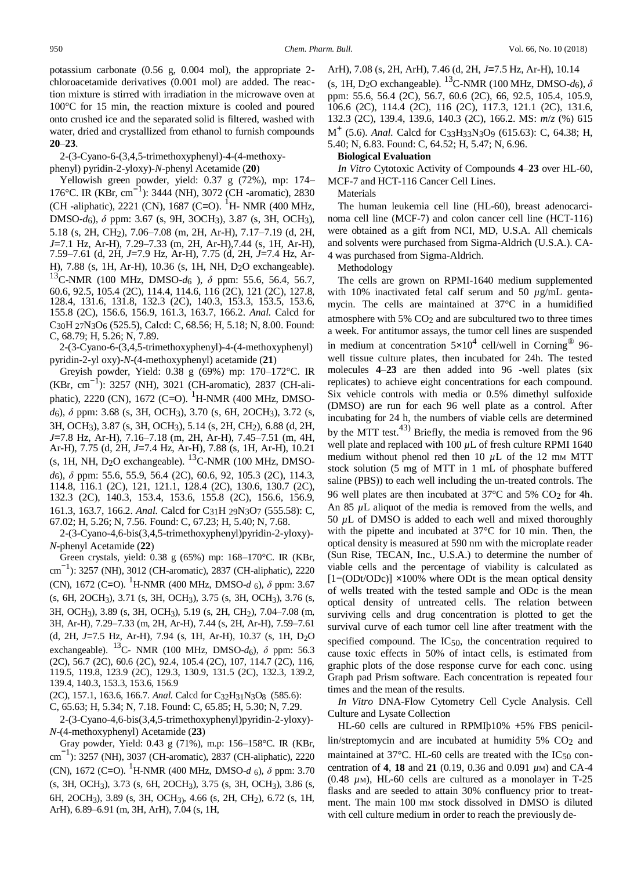potassium carbonate (0.56 g, 0.004 mol), the appropriate 2 chloroacetamide derivatives (0.001 mol) are added. The reaction mixture is stirred with irradiation in the microwave oven at 100°C for 15 min, the reaction mixture is cooled and poured onto crushed ice and the separated solid is filtered, washed with water, dried and crystallized from ethanol to furnish compounds **20**–**23**.

2-(3-Cyano-6-(3,4,5-trimethoxyphenyl)-4-(4-methoxy-

phenyl) pyridin-2-yloxy)-*N*-phenyl Acetamide (**20**)

Yellowish green powder, yield: 0.37 g (72%), mp: 174– 176°C. IR (KBr, cm−<sup>1</sup> ): 3444 (NH), 3072 (CH -aromatic), 2830 (CH -aliphatic), 2221 (CN), 1687 (C=O). <sup>1</sup>H- NMR (400 MHz, DMSO-*d*6), *δ* ppm: 3.67 (s, 9H, 3OCH3), 3.87 (s, 3H, OCH3), 5.18 (s, 2H, CH2), 7.06–7.08 (m, 2H, Ar-H), 7.17–7.19 (d, 2H, *J*=7.1 Hz, Ar-H), 7.29–7.33 (m, 2H, Ar-H),7.44 (s, 1H, Ar-H), 7.59–7.61 (d, 2H, *J*=7.9 Hz, Ar-H), 7.75 (d, 2H, *J*=7.4 Hz, Ar-H), 7.88 (s, 1H, Ar-H), 10.36 (s, 1H, NH, D2O exchangeable). <sup>13</sup>C-NMR (100 MHz, DMSO-*d*<sup>6</sup> ), *δ* ppm: 55.6, 56.4, 56.7, 60.6, 92.5, 105.4 (2C), 114.4, 114.6, 116 (2C), 121 (2C), 127.8, 128.4, 131.6, 131.8, 132.3 (2C), 140.3, 153.3, 153.5, 153.6, 155.8 (2C), 156.6, 156.9, 161.3, 163.7, 166.2. *Anal.* Calcd for C30H 27N3O6 (525.5), Calcd: C, 68.56; H, 5.18; N, 8.00. Found: C, 68.79; H, 5.26; N, 7.89.

2-(3-Cyano-6-(3,4,5-trimethoxyphenyl)-4-(4-methoxyphenyl) pyridin-2-yl oxy)-*N*-(4-methoxyphenyl) acetamide (**21**)

Greyish powder, Yield: 0.38 g (69%) mp: 170–172°C. IR (KBr, cm−<sup>1</sup> ): 3257 (NH), 3021 (CH-aromatic), 2837 (CH-aliphatic), 2220 (CN), 1672 (C=O). <sup>1</sup>H-NMR (400 MHz, DMSO*d*6), *δ* ppm: 3.68 (s, 3H, OCH3), 3.70 (s, 6H, 2OCH3), 3.72 (s, 3H, OCH3), 3.87 (s, 3H, OCH3), 5.14 (s, 2H, CH2), 6.88 (d, 2H, *J*=7.8 Hz, Ar-H), 7.16–7.18 (m, 2H, Ar-H), 7.45–7.51 (m, 4H, Ar-H), 7.75 (d, 2H, *J*=7.4 Hz, Ar-H), 7.88 (s, 1H, Ar-H), 10.21 (s, 1H, NH,  $D_2O$  exchangeable).  $^{13}$ C-NMR (100 MHz, DMSO*d*6), *δ* ppm: 55.6, 55.9, 56.4 (2C), 60.6, 92, 105.3 (2C), 114.3, 114.8, 116.1 (2C), 121, 121.1, 128.4 (2C), 130.6, 130.7 (2C), 132.3 (2C), 140.3, 153.4, 153.6, 155.8 (2C), 156.6, 156.9, 161.3, 163.7, 166.2. *Anal.* Calcd for C31H 29N3O7 (555.58): C, 67.02; H, 5.26; N, 7.56. Found: C, 67.23; H, 5.40; N, 7.68.

2-(3-Cyano-4,6-bis(3,4,5-trimethoxyphenyl)pyridin-2-yloxy)- *N*-phenyl Acetamide (**22**)

Green crystals, yield: 0.38 g (65%) mp: 168–170°C. IR (KBr, cm −1 ): 3257 (NH), 3012 (CH-aromatic), 2837 (CH-aliphatic), 2220 (CN), 1672 (C=O). <sup>1</sup>H-NMR (400 MHz, DMSO- $d_6$ ),  $\delta$  ppm: 3.67 (s, 6H, 2OCH3), 3.71 (s, 3H, OCH3), 3.75 (s, 3H, OCH3), 3.76 (s, 3H, OCH3), 3.89 (s, 3H, OCH3), 5.19 (s, 2H, CH2), 7.04–7.08 (m, 3H, Ar-H), 7.29–7.33 (m, 2H, Ar-H), 7.44 (s, 2H, Ar-H), 7.59–7.61 (d, 2H, *J*=7.5 Hz, Ar-H), 7.94 (s, 1H, Ar-H), 10.37 (s, 1H, D2O exchangeable). <sup>13</sup>C- NMR (100 MHz, DMSO-*d*<sub>6</sub>), *δ* ppm: 56.3 (2C), 56.7 (2C), 60.6 (2C), 92.4, 105.4 (2C), 107, 114.7 (2C), 116, 119.5, 119.8, 123.9 (2C), 129.3, 130.9, 131.5 (2C), 132.3, 139.2, 139.4, 140.3, 153.3, 153.6, 156.9

(2C), 157.1, 163.6, 166.7. *Anal.* Calcd for C32H31N3O8 (585.6): C, 65.63; H, 5.34; N, 7.18. Found: C, 65.85; H, 5.30; N, 7.29.

2-(3-Cyano-4,6-bis(3,4,5-trimethoxyphenyl)pyridin-2-yloxy)- *N*-(4-methoxyphenyl) Acetamide (**23**)

Gray powder, Yield: 0.43 g (71%), m.p: 156–158°C. IR (KBr, cm −1 ): 3257 (NH), 3037 (CH-aromatic), 2837 (CH-aliphatic), 2220 (CN), 1672 (C=O). 1H-NMR (400 MHz, DMSO-*<sup>d</sup>* <sup>6</sup>), *<sup>δ</sup>* ppm: 3.70 (s, 3H, OCH3), 3.73 (s, 6H, 2OCH3), 3.75 (s, 3H, OCH3), 3.86 (s, 6H, 2OCH3), 3.89 (s, 3H, OCH3), 4.66 (s, 2H, CH2), 6.72 (s, 1H, ArH), 6.89–6.91 (m, 3H, ArH), 7.04 (s, 1H,

ArH), 7.08 (s, 2H, ArH), 7.46 (d, 2H, *J*=7.5 Hz, Ar-H), 10.14 (s, 1H, D<sub>2</sub>O exchangeable). <sup>13</sup>C-NMR (100 MHz, DMSO- $d_6$ ),  $\delta$ ppm: 55.6, 56.4 (2C), 56.7, 60.6 (2C), 66, 92.5, 105.4, 105.9, 106.6 (2C), 114.4 (2C), 116 (2C), 117.3, 121.1 (2C), 131.6, 132.3 (2C), 139.4, 139.6, 140.3 (2C), 166.2. MS: *m*/*z* (%) 615 M<sup>+</sup> (5.6). *Anal.* Calcd for C33H33N3O9 (615.63): C, 64.38; H, 5.40; N, 6.83. Found: C, 64.52; H, 5.47; N, 6.96.

#### **Biological Evaluation**

*In Vitro* Cytotoxic Activity of Compounds **4**–**23** over HL-60, MCF-7 and HCT-116 Cancer Cell Lines.

Materials

The human leukemia cell line (HL-60), breast adenocarcinoma cell line (MCF-7) and colon cancer cell line (HCT-116) were obtained as a gift from NCI, MD, U.S.A. All chemicals and solvents were purchased from Sigma-Aldrich (U.S.A.). CA-4 was purchased from Sigma-Aldrich.

Methodology

The cells are grown on RPMI-1640 medium supplemented with 10% inactivated fetal calf serum and 50  $\mu$ g/mL gentamycin. The cells are maintained at 37°C in a humidified atmosphere with  $5\%$  CO<sub>2</sub> and are subcultured two to three times a week. For antitumor assays, the tumor cell lines are suspended in medium at concentration  $5 \times 10^4$  cell/well in Corning<sup>®</sup> 96well tissue culture plates, then incubated for 24h. The tested molecules **4**–**23** are then added into 96 -well plates (six replicates) to achieve eight concentrations for each compound. Six vehicle controls with media or 0.5% dimethyl sulfoxide (DMSO) are run for each 96 well plate as a control. After incubating for 24 h, the numbers of viable cells are determined by the MTT test.<sup>43)</sup> Briefly, the media is removed from the 96 well plate and replaced with 100 *µ*L of fresh culture RPMI 1640 medium without phenol red then 10  $\mu$ L of the 12 mm MTT stock solution (5 mg of MTT in 1 mL of phosphate buffered saline (PBS)) to each well including the un-treated controls. The 96 well plates are then incubated at 37°C and 5% CO2 for 4h. An 85  $\mu$ L aliquot of the media is removed from the wells, and 50 *µ*L of DMSO is added to each well and mixed thoroughly with the pipette and incubated at 37<sup>°</sup>C for 10 min. Then, the optical density is measured at 590 nm with the microplate reader (Sun Rise, TECAN, Inc., U.S.A.) to determine the number of viable cells and the percentage of viability is calculated as [1−(ODt/ODc)] ×100% where ODt is the mean optical density of wells treated with the tested sample and ODc is the mean optical density of untreated cells. The relation between surviving cells and drug concentration is plotted to get the survival curve of each tumor cell line after treatment with the specified compound. The IC50, the concentration required to cause toxic effects in 50% of intact cells, is estimated from graphic plots of the dose response curve for each conc. using Graph pad Prism software. Each concentration is repeated four times and the mean of the results.

*In Vitro* DNA-Flow Cytometry Cell Cycle Analysis. Cell Culture and Lysate Collection

HL-60 cells are cultured in RPMIþ10% +5% FBS penicillin/streptomycin and are incubated at humidity 5% CO2 and maintained at 37°C. HL-60 cells are treated with the IC50 concentration of **4**, **18** and **21** (0.19, 0.36 and 0.091 *µ*M) and CA-4  $(0.48 \mu)$ , HL-60 cells are cultured as a monolayer in T-25 flasks and are seeded to attain 30% confluency prior to treatment. The main 100 mm stock dissolved in DMSO is diluted with cell culture medium in order to reach the previously de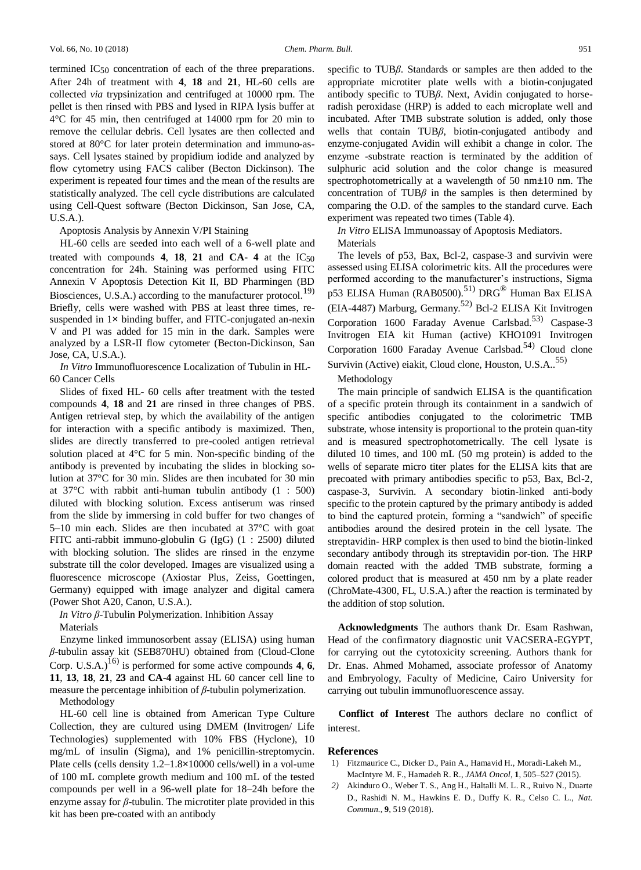termined IC50 concentration of each of the three preparations. After 24h of treatment with **4**, **18** and **21**, HL-60 cells are collected *via* trypsinization and centrifuged at 10000 rpm. The pellet is then rinsed with PBS and lysed in RIPA lysis buffer at 4°C for 45 min, then centrifuged at 14000 rpm for 20 min to remove the cellular debris. Cell lysates are then collected and stored at 80°C for later protein determination and immuno-assays. Cell lysates stained by propidium iodide and analyzed by flow cytometry using FACS caliber (Becton Dickinson). The experiment is repeated four times and the mean of the results are statistically analyzed. The cell cycle distributions are calculated using Cell-Quest software (Becton Dickinson, San Jose, CA, U.S.A.).

Apoptosis Analysis by Annexin V/PI Staining

HL-60 cells are seeded into each well of a 6-well plate and treated with compounds **4**, **18**, **21** and **CA**- **4** at the IC50 concentration for 24h. Staining was performed using FITC Annexin V Apoptosis Detection Kit II, BD Pharmingen (BD Biosciences, U.S.A.) according to the manufacturer protocol.<sup>19)</sup> Briefly, cells were washed with PBS at least three times, resuspended in 1x binding buffer, and FITC-conjugated an-nexin V and PI was added for 15 min in the dark. Samples were analyzed by a LSR-II flow cytometer (Becton-Dickinson, San Jose, CA, U.S.A.).

*In Vitro* Immunofluorescence Localization of Tubulin in HL-60 Cancer Cells

Slides of fixed HL- 60 cells after treatment with the tested compounds **4**, **18** and **21** are rinsed in three changes of PBS. Antigen retrieval step, by which the availability of the antigen for interaction with a specific antibody is maximized. Then, slides are directly transferred to pre-cooled antigen retrieval solution placed at 4°C for 5 min. Non-specific binding of the antibody is prevented by incubating the slides in blocking solution at 37°C for 30 min. Slides are then incubated for 30 min at 37°C with rabbit anti-human tubulin antibody (1 : 500) diluted with blocking solution. Excess antiserum was rinsed from the slide by immersing in cold buffer for two changes of 5–10 min each. Slides are then incubated at 37°C with goat FITC anti-rabbit immuno-globulin G (IgG) (1 : 2500) diluted with blocking solution. The slides are rinsed in the enzyme substrate till the color developed. Images are visualized using a fluorescence microscope (Axiostar Plus, Zeiss, Goettingen, Germany) equipped with image analyzer and digital camera (Power Shot A20, Canon, U.S.A.).

*In Vitro β*-Tubulin Polymerization. Inhibition Assay Materials

Enzyme linked immunosorbent assay (ELISA) using human *β*-tubulin assay kit (SEB870HU) obtained from (Cloud-Clone Corp. U.S.A.)<sup>16)</sup> is performed for some active compounds **4**, **6**, **11**, **13**, **18**, **21**, **23** and **CA**-**4** against HL 60 cancer cell line to measure the percentage inhibition of *β*-tubulin polymerization.

Methodology

HL-60 cell line is obtained from American Type Culture Collection, they are cultured using DMEM (Invitrogen/ Life Technologies) supplemented with 10% FBS (Hyclone), 10 mg/mL of insulin (Sigma), and 1% penicillin-streptomycin. Plate cells (cells density 1.2–1.8×10000 cells/well) in a vol-ume of 100 mL complete growth medium and 100 mL of the tested compounds per well in a 96-well plate for 18–24h before the enzyme assay for *β*-tubulin. The microtiter plate provided in this kit has been pre-coated with an antibody

specific to TUB*β*. Standards or samples are then added to the appropriate microtiter plate wells with a biotin-conjugated antibody specific to TUB*β*. Next, Avidin conjugated to horseradish peroxidase (HRP) is added to each microplate well and incubated. After TMB substrate solution is added, only those wells that contain TUB*β*, biotin-conjugated antibody and enzyme-conjugated Avidin will exhibit a change in color. The enzyme -substrate reaction is terminated by the addition of sulphuric acid solution and the color change is measured spectrophotometrically at a wavelength of 50 nm±10 nm. The concentration of TUB*β* in the samples is then determined by comparing the O.D. of the samples to the standard curve. Each experiment was repeated two times (Table 4).

*In Vitro* ELISA Immunoassay of Apoptosis Mediators. Materials

The levels of p53, Bax, Bcl-2, caspase-3 and survivin were assessed using ELISA colorimetric kits. All the procedures were performed according to the manufacturer's instructions, Sigma p53 ELISA Human (RAB0500).<sup>51)</sup> DRG<sup>®</sup> Human Bax ELISA (EIA-4487) Marburg, Germany.52) Bcl-2 ELISA Kit Invitrogen Corporation 1600 Faraday Avenue Carlsbad.<sup>53)</sup> Caspase-3 Invitrogen EIA kit Human (active) KHO1091 Invitrogen Corporation 1600 Faraday Avenue Carlsbad.<sup>54)</sup> Cloud clone Survivin (Active) eiakit, Cloud clone, Houston, U.S.A..<sup>55)</sup>

Methodology

The main principle of sandwich ELISA is the quantification of a specific protein through its containment in a sandwich of specific antibodies conjugated to the colorimetric TMB substrate, whose intensity is proportional to the protein quan-tity and is measured spectrophotometrically. The cell lysate is diluted 10 times, and 100 mL (50 mg protein) is added to the wells of separate micro titer plates for the ELISA kits that are precoated with primary antibodies specific to p53, Bax, Bcl-2, caspase-3, Survivin. A secondary biotin-linked anti-body specific to the protein captured by the primary antibody is added to bind the captured protein, forming a "sandwich" of specific antibodies around the desired protein in the cell lysate. The streptavidin- HRP complex is then used to bind the biotin-linked secondary antibody through its streptavidin por-tion. The HRP domain reacted with the added TMB substrate, forming a colored product that is measured at 450 nm by a plate reader (ChroMate-4300, FL, U.S.A.) after the reaction is terminated by the addition of stop solution.

**Acknowledgments** The authors thank Dr. Esam Rashwan, Head of the confirmatory diagnostic unit VACSERA-EGYPT, for carrying out the cytotoxicity screening. Authors thank for Dr. Enas. Ahmed Mohamed, associate professor of Anatomy and Embryology, Faculty of Medicine, Cairo University for carrying out tubulin immunofluorescence assay.

**Conflict of Interest** The authors declare no conflict of interest.

#### **References**

- 1) [Fitzmaurice C., Dicker D., Pain A., Hamavid H., Moradi-Lakeh M.,](http://dx.doi.org/10.1001/jamaoncol.2015.0735) [MacIntyre M. F., Hamadeh R. R.,](http://dx.doi.org/10.1001/jamaoncol.2015.0735) *JAMA Oncol*, **1**, 505–527 (2015).
- *2)* [Akinduro O., Weber T. S., Ang H., Haltalli M. L. R., Ruivo N.,](http://dx.doi.org/10.1038/s41467-017-02376-5) [Duarte](http://dx.doi.org/10.1038/s41467-017-02376-5)  [D., Rashidi N. M., Hawkins E. D., Duffy K. R., Celso C. L.,](http://dx.doi.org/10.1038/s41467-017-02376-5) *[Nat.](http://dx.doi.org/10.1038/s41467-017-02376-5)  Commun.*, **9**[, 519 \(2018\).](http://dx.doi.org/10.1038/s41467-017-02376-5)